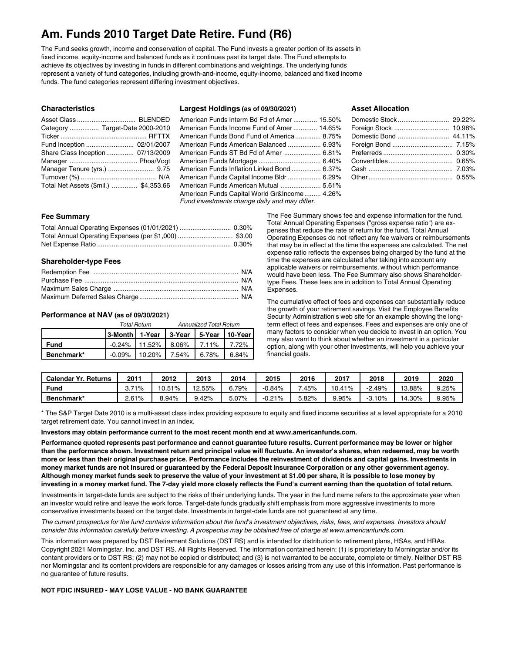## **Am. Funds 2010 Target Date Retire. Fund (R6)**

The Fund seeks growth, income and conservation of capital. The Fund invests a greater portion of its assets in fixed income, equity-income and balanced funds as it continues past its target date. The Fund attempts to achieve its objectives by investing in funds in different combinations and weightings. The underlying funds represent a variety of fund categories, including growth-and-income, equity-income, balanced and fixed income funds. The fund categories represent differing investment objectives.

## **Characteristics**

| Category  Target-Date 2000-2010       |  |
|---------------------------------------|--|
|                                       |  |
| Fund Inception  02/01/2007            |  |
| Share Class Inception 07/13/2009      |  |
|                                       |  |
| Manager Tenure (yrs.)  9.75           |  |
|                                       |  |
| Total Net Assets (\$mil.)  \$4,353.66 |  |

## **Largest Holdings (as of 09/30/2021)**

## American Funds Interm Bd Fd of Amer ............. 15.50% American Funds Income Fund of Amer ............. 14.65% American Funds Bond Fund of America.............. 8.75% American Funds American Balanced .................. 6.93% American Funds ST Bd Fd of Amer .................... 6.81% American Funds Mortgage .................................. 6.40% American Funds Inflation Linked Bond ................ 6.37% American Funds Capital Income Bldr .................. 6.29% American Funds American Mutual ...................... 5.61% American Funds Capital World Gr&Income......... 4.26% *Fund investments change daily and may differ.*

## **Asset Allocation**

## **Fee Summary**

## **Shareholder-type Fees**

## **Performance at NAV (as of 09/30/2021)**

|             |                                              | <b>Total Return</b>                        | <b>Annualized Total Return</b> |  |  |  |
|-------------|----------------------------------------------|--------------------------------------------|--------------------------------|--|--|--|
|             | 3-Month   1-Year   3-Year   5-Year   10-Year |                                            |                                |  |  |  |
| <b>Fund</b> |                                              | $-0.24\%$   11.52%   8.06%   7.11%   7.72% |                                |  |  |  |
| Benchmark*  |                                              | $-0.09\%$   10.20%   7.54%   6.78%   6.84% |                                |  |  |  |

The Fee Summary shows fee and expense information for the fund. Total Annual Operating Expenses ("gross expense ratio") are expenses that reduce the rate of return for the fund. Total Annual Operating Expenses do not reflect any fee waivers or reimbursements that may be in effect at the time the expenses are calculated. The net expense ratio reflects the expenses being charged by the fund at the time the expenses are calculated after taking into account any applicable waivers or reimbursements, without which performance would have been less. The Fee Summary also shows Shareholdertype Fees. These fees are in addition to Total Annual Operating Expenses.

The cumulative effect of fees and expenses can substantially reduce the growth of your retirement savings. Visit the Employee Benefits Security Administration's web site for an example showing the longterm effect of fees and expenses. Fees and expenses are only one of many factors to consider when you decide to invest in an option. You may also want to think about whether an investment in a particular option, along with your other investments, will help you achieve your financial goals.

| <b>Calendar Yr. Returns</b> | $201^{\circ}$ | 2012   | 2013   | 2014 | 2015     | 2016  | 2017     | 2018     | 2019   | 2020  |
|-----------------------------|---------------|--------|--------|------|----------|-------|----------|----------|--------|-------|
| Fund                        | 71%           | 10.51% | 12.55% | .79% | $-0.84%$ | .45%  | 10.41%   | $2.49\%$ | 13.88% | 9.25% |
| Benchmark*                  | 2.61%         | 8.94%  | .42%   | 7%.د | $-0.21%$ | 5.82% | $9.95\%$ | $-3.10%$ | 14.30% | 9.95% |

\* The S&P Target Date 2010 is a multi-asset class index providing exposure to equity and fixed income securities at a level appropriate for a 2010 target retirement date. You cannot invest in an index.

**Investors may obtain performance current to the most recent month end at www.americanfunds.com.**

Performance quoted represents past performance and cannot guarantee future results. Current performance may be lower or higher than the performance shown. Investment return and principal value will fluctuate. An investor's shares, when redeemed, may be worth more or less than their original purchase price. Performance includes the reinvestment of dividends and capital gains. Investments in money market funds are not insured or guaranteed by the Federal Deposit Insurance Corporation or any other government agency. Although money market funds seek to preserve the value of your investment at \$1.00 per share, it is possible to lose money by investing in a money market fund. The 7-day yield more closely reflects the Fund's current earning than the quotation of total return.

Investments in target-date funds are subject to the risks of their underlying funds. The year in the fund name refers to the approximate year when an investor would retire and leave the work force. Target-date funds gradually shift emphasis from more aggressive investments to more conservative investments based on the target date. Investments in target-date funds are not guaranteed at any time.

The current prospectus for the fund contains information about the fund's investment objectives, risks, fees, and expenses. Investors should consider this information carefully before investing. A prospectus may be obtained free of charge at www.americanfunds.com.

This information was prepared by DST Retirement Solutions (DST RS) and is intended for distribution to retirement plans, HSAs, and HRAs. Copyright 2021 Morningstar, Inc. and DST RS. All Rights Reserved. The information contained herein: (1) is proprietary to Morningstar and/or its content providers or to DST RS; (2) may not be copied or distributed; and (3) is not warranted to be accurate, complete or timely. Neither DST RS nor Morningstar and its content providers are responsible for any damages or losses arising from any use of this information. Past performance is no guarantee of future results.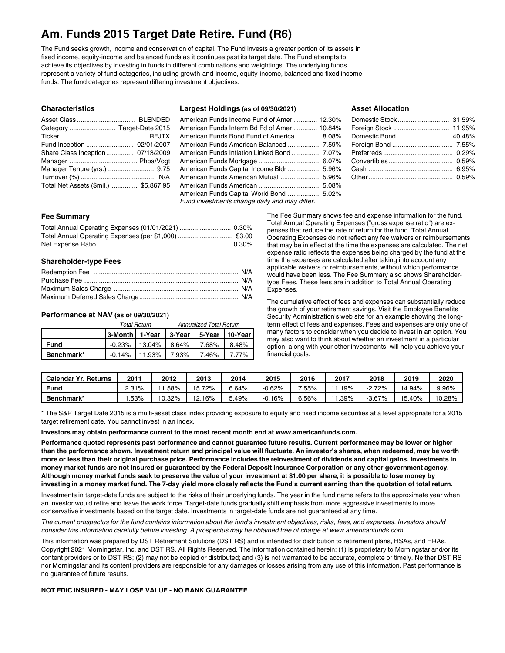## **Am. Funds 2015 Target Date Retire. Fund (R6)**

The Fund seeks growth, income and conservation of capital. The Fund invests a greater portion of its assets in fixed income, equity-income and balanced funds as it continues past its target date. The Fund attempts to achieve its objectives by investing in funds in different combinations and weightings. The underlying funds represent a variety of fund categories, including growth-and-income, equity-income, balanced and fixed income funds. The fund categories represent differing investment objectives.

## **Characteristics**

| Asset Class  BLENDED                  |  |
|---------------------------------------|--|
|                                       |  |
|                                       |  |
| Fund Inception  02/01/2007            |  |
| Share Class Inception 07/13/2009      |  |
|                                       |  |
| Manager Tenure (yrs.)  9.75           |  |
|                                       |  |
| Total Net Assets (\$mil.)  \$5,867.95 |  |

#### **Largest Holdings (as of 09/30/2021)**

## American Funds Income Fund of Amer ............. 12.30% American Funds Interm Bd Fd of Amer ............. 10.84% American Funds Bond Fund of America.............. 8.08% American Funds American Balanced .................. 7.59% American Funds Inflation Linked Bond ................ 7.07% American Funds Mortgage .................................. 6.07% American Funds Capital Income Bldr .................. 5.96% American Funds American Mutual ...................... 5.96% American Funds American .................................. 5.08% American Funds Capital World Bond .................. 5.02% *Fund investments change daily and may differ.*

## **Asset Allocation**

#### **Fee Summary**

## **Shareholder-type Fees**

## **Performance at NAV (as of 09/30/2021)**

|            |                                              | Total Return                               | <b>Annualized Total Return</b> |  |  |  |
|------------|----------------------------------------------|--------------------------------------------|--------------------------------|--|--|--|
|            | 3-Month   1-Year   3-Year   5-Year   10-Year |                                            |                                |  |  |  |
| Fund       |                                              | $-0.23\%$   13.04%   8.64%   7.68%   8.48% |                                |  |  |  |
| Benchmark* |                                              | $-0.14\%$   11.93%   7.93%   7.46%   7.77% |                                |  |  |  |

The Fee Summary shows fee and expense information for the fund. Total Annual Operating Expenses ("gross expense ratio") are expenses that reduce the rate of return for the fund. Total Annual Operating Expenses do not reflect any fee waivers or reimbursements that may be in effect at the time the expenses are calculated. The net expense ratio reflects the expenses being charged by the fund at the time the expenses are calculated after taking into account any applicable waivers or reimbursements, without which performance would have been less. The Fee Summary also shows Shareholdertype Fees. These fees are in addition to Total Annual Operating Expenses.

The cumulative effect of fees and expenses can substantially reduce the growth of your retirement savings. Visit the Employee Benefits Security Administration's web site for an example showing the longterm effect of fees and expenses. Fees and expenses are only one of many factors to consider when you decide to invest in an option. You may also want to think about whether an investment in a particular option, along with your other investments, will help you achieve your financial goals.

| <b>Calendar Yr. Returns</b> | $201^{\circ}$ | 2012   | 2013        | 2014     | 2015     | 2016     | 2017 | 2018      | 2019   | 2020   |
|-----------------------------|---------------|--------|-------------|----------|----------|----------|------|-----------|--------|--------|
| Fund                        | $2.31\%$      | .58%   | 72%<br>15.  | $3.64\%$ | $-0.62%$ | $.55\%$  | 19%  | $-2.72%$  | 14.94% | 9.96%  |
| Benchmark*                  | .53%          | 10.32% | 2.16%<br>10 | 3.49%    | $0.16\%$ | $6.56\%$ | .39% | $-3.67\%$ | 15.40% | 10.28% |

\* The S&P Target Date 2015 is a multi-asset class index providing exposure to equity and fixed income securities at a level appropriate for a 2015 target retirement date. You cannot invest in an index.

**Investors may obtain performance current to the most recent month end at www.americanfunds.com.**

Performance quoted represents past performance and cannot guarantee future results. Current performance may be lower or higher than the performance shown. Investment return and principal value will fluctuate. An investor's shares, when redeemed, may be worth more or less than their original purchase price. Performance includes the reinvestment of dividends and capital gains. Investments in money market funds are not insured or guaranteed by the Federal Deposit Insurance Corporation or any other government agency. Although money market funds seek to preserve the value of your investment at \$1.00 per share, it is possible to lose money by investing in a money market fund. The 7-day yield more closely reflects the Fund's current earning than the quotation of total return.

Investments in target-date funds are subject to the risks of their underlying funds. The year in the fund name refers to the approximate year when an investor would retire and leave the work force. Target-date funds gradually shift emphasis from more aggressive investments to more conservative investments based on the target date. Investments in target-date funds are not guaranteed at any time.

The current prospectus for the fund contains information about the fund's investment objectives, risks, fees, and expenses. Investors should consider this information carefully before investing. A prospectus may be obtained free of charge at www.americanfunds.com.

This information was prepared by DST Retirement Solutions (DST RS) and is intended for distribution to retirement plans, HSAs, and HRAs. Copyright 2021 Morningstar, Inc. and DST RS. All Rights Reserved. The information contained herein: (1) is proprietary to Morningstar and/or its content providers or to DST RS; (2) may not be copied or distributed; and (3) is not warranted to be accurate, complete or timely. Neither DST RS nor Morningstar and its content providers are responsible for any damages or losses arising from any use of this information. Past performance is no guarantee of future results.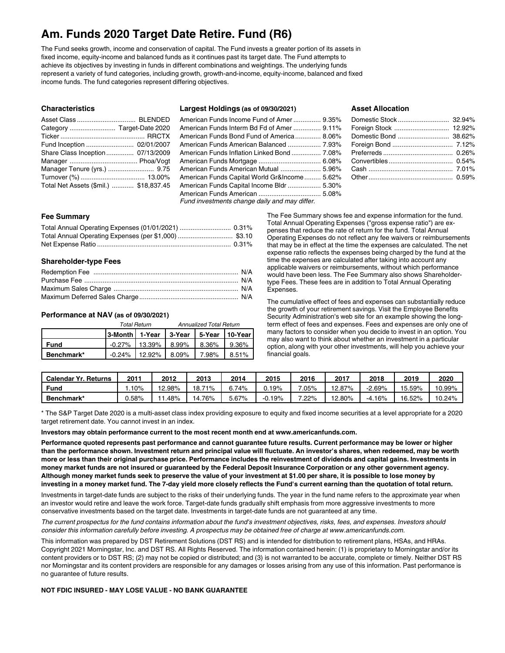## **Am. Funds 2020 Target Date Retire. Fund (R6)**

The Fund seeks growth, income and conservation of capital. The Fund invests a greater portion of its assets in fixed income, equity-income and balanced funds as it continues past its target date. The Fund attempts to achieve its objectives by investing in funds in different combinations and weightings. The underlying funds represent a variety of fund categories, including growth, growth-and-income, equity-income, balanced and fixed income funds. The fund categories represent differing objectives.

## **Characteristics**

| Fund Inception  02/01/2007             |  |
|----------------------------------------|--|
| Share Class Inception 07/13/2009       |  |
|                                        |  |
| Manager Tenure (yrs.)  9.75            |  |
|                                        |  |
| Total Net Assets (\$mil.)  \$18,837.45 |  |

#### **Largest Holdings (as of 09/30/2021)**

## American Funds Income Fund of Amer ............... 9.35% American Funds Interm Bd Fd of Amer ............... 9.11% American Funds Bond Fund of America.............. 8.06% American Funds American Balanced .................. 7.93% American Funds Inflation Linked Bond ................ 7.08% American Funds Mortgage .................................. 6.08% American Funds American Mutual ...................... 5.96% American Funds Capital World Gr&Income......... 5.62% American Funds Capital Income Bldr .................. 5.30% American Funds American .................................. 5.08% *Fund investments change daily and may differ.*

#### **Asset Allocation**

#### **Fee Summary**

## **Shareholder-type Fees**

## **Performance at NAV (as of 09/30/2021)**

|            | Total Return                               | <b>Annualized Total Return</b> |  |       |  |
|------------|--------------------------------------------|--------------------------------|--|-------|--|
|            |                                            |                                |  |       |  |
| Fund       | $-0.27\%$   13.39%   8.99%   8.36%         |                                |  | 9.36% |  |
| Benchmark* | $-0.24\%$   12.92%   8.09%   7.98%   8.51% |                                |  |       |  |

The Fee Summary shows fee and expense information for the fund. Total Annual Operating Expenses ("gross expense ratio") are expenses that reduce the rate of return for the fund. Total Annual Operating Expenses do not reflect any fee waivers or reimbursements that may be in effect at the time the expenses are calculated. The net expense ratio reflects the expenses being charged by the fund at the time the expenses are calculated after taking into account any applicable waivers or reimbursements, without which performance would have been less. The Fee Summary also shows Shareholdertype Fees. These fees are in addition to Total Annual Operating Expenses.

The cumulative effect of fees and expenses can substantially reduce the growth of your retirement savings. Visit the Employee Benefits Security Administration's web site for an example showing the longterm effect of fees and expenses. Fees and expenses are only one of many factors to consider when you decide to invest in an option. You may also want to think about whether an investment in a particular option, along with your other investments, will help you achieve your financial goals.

| Calendar Yr.<br>Returns | 201      | 2012   | 2013        | 2014  | 2015     | 2016    | 2017   | 2018     | 2019   | 2020   |
|-------------------------|----------|--------|-------------|-------|----------|---------|--------|----------|--------|--------|
| <b>Fund</b>             | 10%      | 12.98% | 18.1<br>71% | .74%  | $0.19\%$ | $.05\%$ | 12.87% | 2.69%    | 15.59% | 10.99% |
| Benchmark*              | $0.58\%$ | . 48%  | 76%         | 5.67% | $-0.19%$ | .22%    | 2.80%  | $-4.16%$ | 16.52% | 10.24% |

\* The S&P Target Date 2020 is a multi-asset class index providing exposure to equity and fixed income securities at a level appropriate for a 2020 target retirement date. You cannot invest in an index.

**Investors may obtain performance current to the most recent month end at www.americanfunds.com.**

Performance quoted represents past performance and cannot guarantee future results. Current performance may be lower or higher than the performance shown. Investment return and principal value will fluctuate. An investor's shares, when redeemed, may be worth more or less than their original purchase price. Performance includes the reinvestment of dividends and capital gains. Investments in money market funds are not insured or guaranteed by the Federal Deposit Insurance Corporation or any other government agency. Although money market funds seek to preserve the value of your investment at \$1.00 per share, it is possible to lose money by investing in a money market fund. The 7-day yield more closely reflects the Fund's current earning than the quotation of total return.

Investments in target-date funds are subject to the risks of their underlying funds. The year in the fund name refers to the approximate year when an investor would retire and leave the work force. Target-date funds gradually shift emphasis from more aggressive investments to more conservative investments based on the target date. Investments in target-date funds are not guaranteed at any time.

The current prospectus for the fund contains information about the fund's investment objectives, risks, fees, and expenses. Investors should consider this information carefully before investing. A prospectus may be obtained free of charge at www.americanfunds.com.

This information was prepared by DST Retirement Solutions (DST RS) and is intended for distribution to retirement plans, HSAs, and HRAs. Copyright 2021 Morningstar, Inc. and DST RS. All Rights Reserved. The information contained herein: (1) is proprietary to Morningstar and/or its content providers or to DST RS; (2) may not be copied or distributed; and (3) is not warranted to be accurate, complete or timely. Neither DST RS nor Morningstar and its content providers are responsible for any damages or losses arising from any use of this information. Past performance is no guarantee of future results.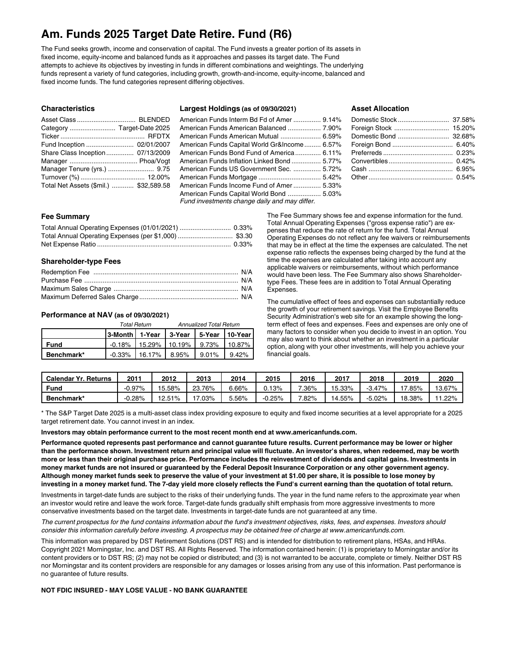## **Am. Funds 2025 Target Date Retire. Fund (R6)**

The Fund seeks growth, income and conservation of capital. The Fund invests a greater portion of its assets in fixed income, equity-income and balanced funds as it approaches and passes its target date. The Fund attempts to achieve its objectives by investing in funds in different combinations and weightings. The underlying funds represent a variety of fund categories, including growth, growth-and-income, equity-income, balanced and fixed income funds. The fund categories represent differing objectives.

## **Characteristics**

| Fund Inception  02/01/2007             |  |
|----------------------------------------|--|
| Share Class Inception 07/13/2009       |  |
|                                        |  |
| Manager Tenure (yrs.)  9.75            |  |
|                                        |  |
| Total Net Assets (\$mil.)  \$32,589.58 |  |

#### **Largest Holdings (as of 09/30/2021)**

## American Funds Interm Bd Fd of Amer ............... 9.14% American Funds American Balanced .................. 7.90% American Funds American Mutual ...................... 6.59% American Funds Capital World Gr&Income......... 6.57% American Funds Bond Fund of America.............. 6.11% American Funds Inflation Linked Bond ................ 5.77% American Funds US Government Sec. ............... 5.72% American Funds Mortgage .................................. 5.42% American Funds Income Fund of Amer ............... 5.33% American Funds Capital World Bond .................. 5.03% *Fund investments change daily and may differ.*

## **Asset Allocation**

#### **Fee Summary**

## **Shareholder-type Fees**

#### **Performance at NAV (as of 09/30/2021)**

|            |                                              | Total Return | Annualized Total Return                      |  |          |  |
|------------|----------------------------------------------|--------------|----------------------------------------------|--|----------|--|
|            | 3-Month   1-Year   3-Year   5-Year   10-Year |              |                                              |  |          |  |
| Fund       |                                              |              | $-0.18\%$   15.29%   10.19%   9.73%   10.87% |  |          |  |
| Benchmark* |                                              |              | $-0.33\%$   16.17%   8.95%   9.01%           |  | $9.42\%$ |  |

The Fee Summary shows fee and expense information for the fund. Total Annual Operating Expenses ("gross expense ratio") are expenses that reduce the rate of return for the fund. Total Annual Operating Expenses do not reflect any fee waivers or reimbursements that may be in effect at the time the expenses are calculated. The net expense ratio reflects the expenses being charged by the fund at the time the expenses are calculated after taking into account any applicable waivers or reimbursements, without which performance would have been less. The Fee Summary also shows Shareholdertype Fees. These fees are in addition to Total Annual Operating Expenses.

The cumulative effect of fees and expenses can substantially reduce the growth of your retirement savings. Visit the Employee Benefits Security Administration's web site for an example showing the longterm effect of fees and expenses. Fees and expenses are only one of many factors to consider when you decide to invest in an option. You may also want to think about whether an investment in a particular option, along with your other investments, will help you achieve your financial goals.

| <b>Calendar Yr. Returns</b> | $201^{\circ}$ | 2012   | 2013   | 2014  | 2015     | 2016    | 2017   | 2018     | 2019   | 2020   |
|-----------------------------|---------------|--------|--------|-------|----------|---------|--------|----------|--------|--------|
| Fund                        | $-0.97%$      | 15.58% | 23.76% | .66%  | $0.13\%$ | $.36\%$ | 15.33% | $-3.47%$ | 17.85% | 13.67% |
| Benchmark*                  | $-0.28%$      | 12.51% | .03%   | 5.56% | $-0.25%$ | $.82\%$ | 14.55% | $-5.02%$ | 18.38% | .22%   |

\* The S&P Target Date 2025 is a multi-asset class index providing exposure to equity and fixed income securities at a level appropriate for a 2025 target retirement date. You cannot invest in an index.

**Investors may obtain performance current to the most recent month end at www.americanfunds.com.**

Performance quoted represents past performance and cannot guarantee future results. Current performance may be lower or higher than the performance shown. Investment return and principal value will fluctuate. An investor's shares, when redeemed, may be worth more or less than their original purchase price. Performance includes the reinvestment of dividends and capital gains. Investments in money market funds are not insured or guaranteed by the Federal Deposit Insurance Corporation or any other government agency. Although money market funds seek to preserve the value of your investment at \$1.00 per share, it is possible to lose money by investing in a money market fund. The 7-day yield more closely reflects the Fund's current earning than the quotation of total return.

Investments in target-date funds are subject to the risks of their underlying funds. The year in the fund name refers to the approximate year when an investor would retire and leave the work force. Target-date funds gradually shift emphasis from more aggressive investments to more conservative investments based on the target date. Investments in target-date funds are not guaranteed at any time.

The current prospectus for the fund contains information about the fund's investment objectives, risks, fees, and expenses. Investors should consider this information carefully before investing. A prospectus may be obtained free of charge at www.americanfunds.com.

This information was prepared by DST Retirement Solutions (DST RS) and is intended for distribution to retirement plans, HSAs, and HRAs. Copyright 2021 Morningstar, Inc. and DST RS. All Rights Reserved. The information contained herein: (1) is proprietary to Morningstar and/or its content providers or to DST RS; (2) may not be copied or distributed; and (3) is not warranted to be accurate, complete or timely. Neither DST RS nor Morningstar and its content providers are responsible for any damages or losses arising from any use of this information. Past performance is no guarantee of future results.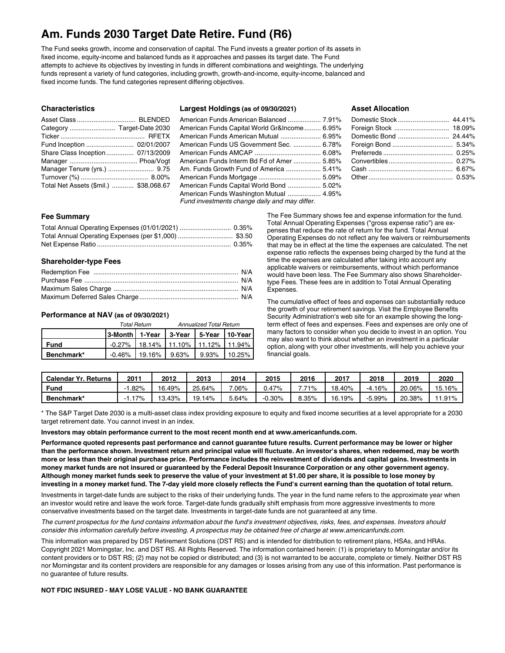## **Am. Funds 2030 Target Date Retire. Fund (R6)**

The Fund seeks growth, income and conservation of capital. The Fund invests a greater portion of its assets in fixed income, equity-income and balanced funds as it approaches and passes its target date. The Fund attempts to achieve its objectives by investing in funds in different combinations and weightings. The underlying funds represent a variety of fund categories, including growth, growth-and-income, equity-income, balanced and fixed income funds. The fund categories represent differing objectives.

## **Characteristics**

| Fund Inception  02/01/2007             |  |
|----------------------------------------|--|
| Share Class Inception 07/13/2009       |  |
|                                        |  |
| Manager Tenure (yrs.)  9.75            |  |
|                                        |  |
| Total Net Assets (\$mil.)  \$38,068.67 |  |

### **Largest Holdings (as of 09/30/2021)**

## American Funds American Balanced .................. 7.91% American Funds Capital World Gr&Income......... 6.95% American Funds American Mutual ...................... 6.95% American Funds US Government Sec. ............... 6.78% American Funds AMCAP .................................... 6.08% American Funds Interm Bd Fd of Amer ............... 5.85% Am. Funds Growth Fund of America ................... 5.41% American Funds Mortgage .................................. 5.09% American Funds Capital World Bond .................. 5.02% American Funds Washington Mutual .................. 4.95% *Fund investments change daily and may differ.*

## **Asset Allocation**

## **Fee Summary**

## **Shareholder-type Fees**

## **Performance at NAV (as of 09/30/2021)**

|            |                                              | Total Return | <b>Annualized Total Return</b>                |  |  |  |
|------------|----------------------------------------------|--------------|-----------------------------------------------|--|--|--|
|            | 3-Month   1-Year   3-Year   5-Year   10-Year |              |                                               |  |  |  |
| Fund       |                                              |              | $-0.27\%$   18.14%   11.10%   11.12%   11.94% |  |  |  |
| Benchmark* |                                              |              | $-0.46\%$   19.16%   9.63%   9.93%   10.25%   |  |  |  |

The Fee Summary shows fee and expense information for the fund. Total Annual Operating Expenses ("gross expense ratio") are expenses that reduce the rate of return for the fund. Total Annual Operating Expenses do not reflect any fee waivers or reimbursements that may be in effect at the time the expenses are calculated. The net expense ratio reflects the expenses being charged by the fund at the time the expenses are calculated after taking into account any applicable waivers or reimbursements, without which performance would have been less. The Fee Summary also shows Shareholdertype Fees. These fees are in addition to Total Annual Operating Expenses.

The cumulative effect of fees and expenses can substantially reduce the growth of your retirement savings. Visit the Employee Benefits Security Administration's web site for an example showing the longterm effect of fees and expenses. Fees and expenses are only one of many factors to consider when you decide to invest in an option. You may also want to think about whether an investment in a particular option, along with your other investments, will help you achieve your financial goals.

| <b>Calendar Yr. Returns</b> | $201^{\circ}$ | 2012   | 2013       | 2014   | 2015     | 2016  | 2017   | 2018      | 2019   | 2020   |
|-----------------------------|---------------|--------|------------|--------|----------|-------|--------|-----------|--------|--------|
| Fund                        | .82%          | 16.49% | 25.64%     | .06%   | 2.47%    | 71%   | 18.40% | $-4.16%$  | 20.06% | 15.16% |
| Benchmark*                  | 7%'           | 13.43% | 14%<br>19. | –64%.د | $-0.30%$ | 8.35% | 16.19% | $-5.99\%$ | 20.38% | 11.91% |

\* The S&P Target Date 2030 is a multi-asset class index providing exposure to equity and fixed income securities at a level appropriate for a 2030 target retirement date. You cannot invest in an index.

**Investors may obtain performance current to the most recent month end at www.americanfunds.com.**

Performance quoted represents past performance and cannot guarantee future results. Current performance may be lower or higher than the performance shown. Investment return and principal value will fluctuate. An investor's shares, when redeemed, may be worth more or less than their original purchase price. Performance includes the reinvestment of dividends and capital gains. Investments in money market funds are not insured or guaranteed by the Federal Deposit Insurance Corporation or any other government agency. Although money market funds seek to preserve the value of your investment at \$1.00 per share, it is possible to lose money by investing in a money market fund. The 7-day yield more closely reflects the Fund's current earning than the quotation of total return.

Investments in target-date funds are subject to the risks of their underlying funds. The year in the fund name refers to the approximate year when an investor would retire and leave the work force. Target-date funds gradually shift emphasis from more aggressive investments to more conservative investments based on the target date. Investments in target-date funds are not guaranteed at any time.

The current prospectus for the fund contains information about the fund's investment objectives, risks, fees, and expenses. Investors should consider this information carefully before investing. A prospectus may be obtained free of charge at www.americanfunds.com.

This information was prepared by DST Retirement Solutions (DST RS) and is intended for distribution to retirement plans, HSAs, and HRAs. Copyright 2021 Morningstar, Inc. and DST RS. All Rights Reserved. The information contained herein: (1) is proprietary to Morningstar and/or its content providers or to DST RS; (2) may not be copied or distributed; and (3) is not warranted to be accurate, complete or timely. Neither DST RS nor Morningstar and its content providers are responsible for any damages or losses arising from any use of this information. Past performance is no guarantee of future results.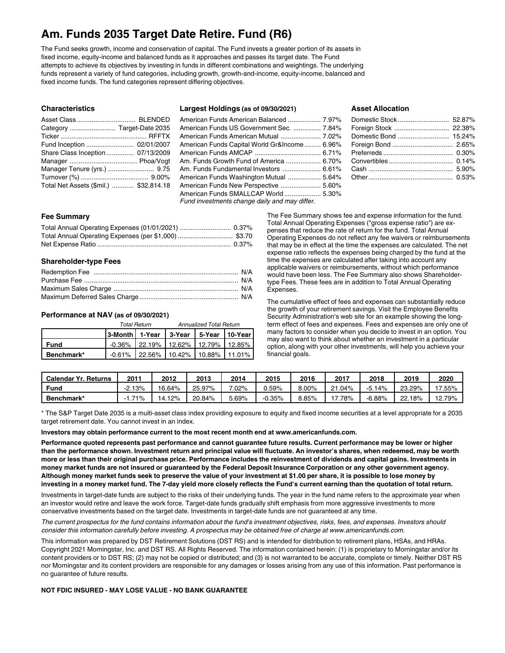## **Am. Funds 2035 Target Date Retire. Fund (R6)**

The Fund seeks growth, income and conservation of capital. The Fund invests a greater portion of its assets in fixed income, equity-income and balanced funds as it approaches and passes its target date. The Fund attempts to achieve its objectives by investing in funds in different combinations and weightings. The underlying funds represent a variety of fund categories, including growth, growth-and-income, equity-income, balanced and fixed income funds. The fund categories represent differing objectives.

## **Characteristics**

| Fund Inception  02/01/2007             |  |
|----------------------------------------|--|
| Share Class Inception 07/13/2009       |  |
|                                        |  |
| Manager Tenure (yrs.)  9.75            |  |
|                                        |  |
| Total Net Assets (\$mil.)  \$32,814.18 |  |

### **Largest Holdings (as of 09/30/2021)**

## American Funds American Balanced .................. 7.97% American Funds US Government Sec. ............... 7.84% American Funds American Mutual ...................... 7.02% American Funds Capital World Gr&Income......... 6.96% American Funds AMCAP .................................... 6.71% Am. Funds Growth Fund of America ................... 6.70% Am. Funds Fundamental Investors ..................... 6.61% American Funds Washington Mutual .................. 5.64% American Funds New Perspective ...................... 5.60% American Funds SMALLCAP World .................... 5.30% *Fund investments change daily and may differ.*

## **Asset Allocation**

## **Fee Summary**

## **Shareholder-type Fees**

## **Performance at NAV (as of 09/30/2021)**

|            |                                              | <b>Total Return</b> | <b>Annualized Total Return</b>                |  |  |  |
|------------|----------------------------------------------|---------------------|-----------------------------------------------|--|--|--|
|            | 3-Month   1-Year   3-Year   5-Year   10-Year |                     |                                               |  |  |  |
| Fund       |                                              |                     | $-0.36\%$   22.19%   12.62%   12.79%   12.85% |  |  |  |
| Benchmark* |                                              |                     | $-0.61\%$ 22.56% 10.42% 10.88% 11.01%         |  |  |  |

The Fee Summary shows fee and expense information for the fund. Total Annual Operating Expenses ("gross expense ratio") are expenses that reduce the rate of return for the fund. Total Annual Operating Expenses do not reflect any fee waivers or reimbursements that may be in effect at the time the expenses are calculated. The net expense ratio reflects the expenses being charged by the fund at the time the expenses are calculated after taking into account any applicable waivers or reimbursements, without which performance would have been less. The Fee Summary also shows Shareholdertype Fees. These fees are in addition to Total Annual Operating Expenses.

The cumulative effect of fees and expenses can substantially reduce the growth of your retirement savings. Visit the Employee Benefits Security Administration's web site for an example showing the longterm effect of fees and expenses. Fees and expenses are only one of many factors to consider when you decide to invest in an option. You may also want to think about whether an investment in a particular option, along with your other investments, will help you achieve your financial goals.

| <b>Calendar Yr. Returns</b> | $201^{\circ}$ | 2012   | 2013   | 2014  | 2015     | 2016  | 2017                  | 2018        | 2019   | 2020   |
|-----------------------------|---------------|--------|--------|-------|----------|-------|-----------------------|-------------|--------|--------|
| Fung                        | $-2.13%$      | 16.64% | 25.97% | .02%  | 3.59%    | 8.00% | $.04\%$<br>$^{\circ}$ | 14%<br>-5.1 | 23.29% | 7.55%  |
| Benchmark*                  | 71%           | 14.12% | 20.84% | 5.69% | $-0.35%$ | 8.85% | $7.78\%$              | $-6.88%$    | 22.18% | 12.79% |

\* The S&P Target Date 2035 is a multi-asset class index providing exposure to equity and fixed income securities at a level appropriate for a 2035 target retirement date. You cannot invest in an index.

**Investors may obtain performance current to the most recent month end at www.americanfunds.com.**

Performance quoted represents past performance and cannot guarantee future results. Current performance may be lower or higher than the performance shown. Investment return and principal value will fluctuate. An investor's shares, when redeemed, may be worth more or less than their original purchase price. Performance includes the reinvestment of dividends and capital gains. Investments in money market funds are not insured or guaranteed by the Federal Deposit Insurance Corporation or any other government agency. Although money market funds seek to preserve the value of your investment at \$1.00 per share, it is possible to lose money by investing in a money market fund. The 7-day yield more closely reflects the Fund's current earning than the quotation of total return.

Investments in target-date funds are subject to the risks of their underlying funds. The year in the fund name refers to the approximate year when an investor would retire and leave the work force. Target-date funds gradually shift emphasis from more aggressive investments to more conservative investments based on the target date. Investments in target-date funds are not guaranteed at any time.

The current prospectus for the fund contains information about the fund's investment objectives, risks, fees, and expenses. Investors should consider this information carefully before investing. A prospectus may be obtained free of charge at www.americanfunds.com.

This information was prepared by DST Retirement Solutions (DST RS) and is intended for distribution to retirement plans, HSAs, and HRAs. Copyright 2021 Morningstar, Inc. and DST RS. All Rights Reserved. The information contained herein: (1) is proprietary to Morningstar and/or its content providers or to DST RS; (2) may not be copied or distributed; and (3) is not warranted to be accurate, complete or timely. Neither DST RS nor Morningstar and its content providers are responsible for any damages or losses arising from any use of this information. Past performance is no guarantee of future results.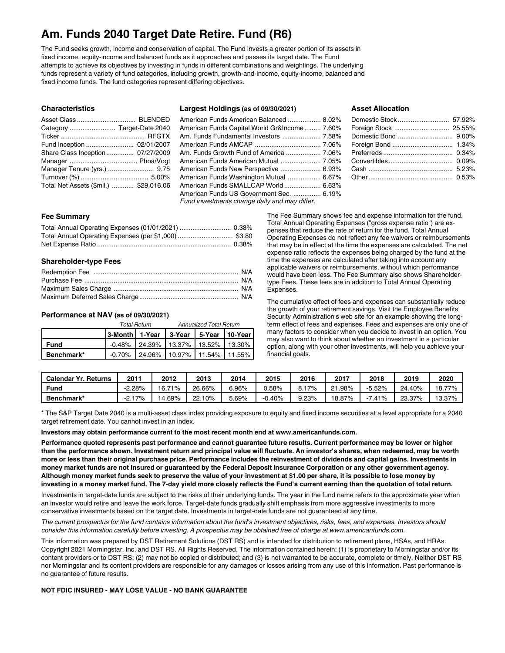## **Am. Funds 2040 Target Date Retire. Fund (R6)**

The Fund seeks growth, income and conservation of capital. The Fund invests a greater portion of its assets in fixed income, equity-income and balanced funds as it approaches and passes its target date. The Fund attempts to achieve its objectives by investing in funds in different combinations and weightings. The underlying funds represent a variety of fund categories, including growth, growth-and-income, equity-income, balanced and fixed income funds. The fund categories represent differing objectives.

## **Characteristics**

| Category  Target-Date 2040             |  |
|----------------------------------------|--|
|                                        |  |
| Fund Inception  02/01/2007             |  |
| Share Class Inception 07/27/2009       |  |
|                                        |  |
| Manager Tenure (yrs.)  9.75            |  |
|                                        |  |
| Total Net Assets (\$mil.)  \$29,016.06 |  |

## **Largest Holdings (as of 09/30/2021)**

## American Funds American Balanced .................. 8.02% American Funds Capital World Gr&Income......... 7.60% Am. Funds Fundamental Investors ..................... 7.58% American Funds AMCAP .................................... 7.06% Am. Funds Growth Fund of America ................... 7.06% American Funds American Mutual ...................... 7.05% American Funds New Perspective ...................... 6.93% American Funds Washington Mutual .................. 6.67% American Funds SMALLCAP World .................... 6.63% American Funds US Government Sec. ............... 6.19% *Fund investments change daily and may differ.*

## **Asset Allocation**

## **Fee Summary**

## **Shareholder-type Fees**

## **Performance at NAV (as of 09/30/2021)**

|             |                                      | <b>Total Return</b> | <b>Annualized Total Return</b>                |  |  |  |
|-------------|--------------------------------------|---------------------|-----------------------------------------------|--|--|--|
|             | 3-Month 1-Year 3-Year 5-Year 10-Year |                     |                                               |  |  |  |
| <b>Fund</b> |                                      |                     | $-0.48\%$   24.39%   13.37%   13.52%   13.30% |  |  |  |
| Benchmark*  |                                      |                     | $-0.70\%$ 24.96% 10.97% 11.54% 11.55%         |  |  |  |

The Fee Summary shows fee and expense information for the fund. Total Annual Operating Expenses ("gross expense ratio") are expenses that reduce the rate of return for the fund. Total Annual Operating Expenses do not reflect any fee waivers or reimbursements that may be in effect at the time the expenses are calculated. The net expense ratio reflects the expenses being charged by the fund at the time the expenses are calculated after taking into account any applicable waivers or reimbursements, without which performance would have been less. The Fee Summary also shows Shareholdertype Fees. These fees are in addition to Total Annual Operating Expenses.

The cumulative effect of fees and expenses can substantially reduce the growth of your retirement savings. Visit the Employee Benefits Security Administration's web site for an example showing the longterm effect of fees and expenses. Fees and expenses are only one of many factors to consider when you decide to invest in an option. You may also want to think about whether an investment in a particular option, along with your other investments, will help you achieve your financial goals.

| <b>Calendar Yr. Returns</b> | $201^{\circ}$ | 2012        | 2013       | 2014    | 2015     | 2016  | 2017      | 2018      | 2019   | 2020        |
|-----------------------------|---------------|-------------|------------|---------|----------|-------|-----------|-----------|--------|-------------|
| Fund                        | -2.28%        | 71%<br>16.7 | 26.66%     | 96%،    | $0.58\%$ | 17%   | .98%<br>ົ | $-5.52\%$ | 24.40% | 77%<br>18., |
| Benchmark*                  | '7%<br>-2.    | 14.69%      | 10%<br>22. | $.69\%$ | $0.40\%$ | 9.23% | 18.87%    | 41%       | 23.37% | 13.37%      |

\* The S&P Target Date 2040 is a multi-asset class index providing exposure to equity and fixed income securities at a level appropriate for a 2040 target retirement date. You cannot invest in an index.

**Investors may obtain performance current to the most recent month end at www.americanfunds.com.**

Performance quoted represents past performance and cannot guarantee future results. Current performance may be lower or higher than the performance shown. Investment return and principal value will fluctuate. An investor's shares, when redeemed, may be worth more or less than their original purchase price. Performance includes the reinvestment of dividends and capital gains. Investments in money market funds are not insured or guaranteed by the Federal Deposit Insurance Corporation or any other government agency. Although money market funds seek to preserve the value of your investment at \$1.00 per share, it is possible to lose money by investing in a money market fund. The 7-day yield more closely reflects the Fund's current earning than the quotation of total return.

Investments in target-date funds are subject to the risks of their underlying funds. The year in the fund name refers to the approximate year when an investor would retire and leave the work force. Target-date funds gradually shift emphasis from more aggressive investments to more conservative investments based on the target date. Investments in target-date funds are not guaranteed at any time.

The current prospectus for the fund contains information about the fund's investment objectives, risks, fees, and expenses. Investors should consider this information carefully before investing. A prospectus may be obtained free of charge at www.americanfunds.com.

This information was prepared by DST Retirement Solutions (DST RS) and is intended for distribution to retirement plans, HSAs, and HRAs. Copyright 2021 Morningstar, Inc. and DST RS. All Rights Reserved. The information contained herein: (1) is proprietary to Morningstar and/or its content providers or to DST RS; (2) may not be copied or distributed; and (3) is not warranted to be accurate, complete or timely. Neither DST RS nor Morningstar and its content providers are responsible for any damages or losses arising from any use of this information. Past performance is no guarantee of future results.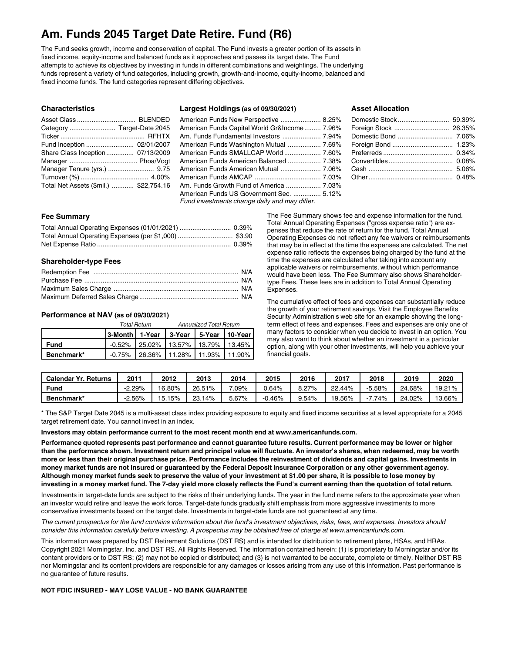## **Am. Funds 2045 Target Date Retire. Fund (R6)**

The Fund seeks growth, income and conservation of capital. The Fund invests a greater portion of its assets in fixed income, equity-income and balanced funds as it approaches and passes its target date. The Fund attempts to achieve its objectives by investing in funds in different combinations and weightings. The underlying funds represent a variety of fund categories, including growth, growth-and-income, equity-income, balanced and fixed income funds. The fund categories represent differing objectives.

## **Characteristics**

| Asset Class  BLENDED                   |  |
|----------------------------------------|--|
| Category  Target-Date 2045             |  |
|                                        |  |
| Fund Inception  02/01/2007             |  |
| Share Class Inception 07/13/2009       |  |
|                                        |  |
| Manager Tenure (yrs.)  9.75            |  |
|                                        |  |
| Total Net Assets (\$mil.)  \$22,754.16 |  |

#### **Largest Holdings (as of 09/30/2021)**

## American Funds New Perspective ...................... 8.25% American Funds Capital World Gr&Income......... 7.96% Am. Funds Fundamental Investors ..................... 7.94% American Funds Washington Mutual .................. 7.69% American Funds SMALLCAP World .................... 7.60% American Funds American Balanced .................. 7.38% American Funds American Mutual ...................... 7.06% American Funds AMCAP .................................... 7.03% Am. Funds Growth Fund of America ................... 7.03% American Funds US Government Sec. ............... 5.12% *Fund investments change daily and may differ.*

## **Asset Allocation**

#### **Fee Summary**

## **Shareholder-type Fees**

## **Performance at NAV (as of 09/30/2021)**

|             |                                              | <b>Total Return</b> | <b>Annualized Total Return</b>                |  |  |  |
|-------------|----------------------------------------------|---------------------|-----------------------------------------------|--|--|--|
|             | 3-Month   1-Year   3-Year   5-Year   10-Year |                     |                                               |  |  |  |
| <b>Fund</b> |                                              |                     | $-0.52\%$   25.02%   13.57%   13.79%   13.45% |  |  |  |
| Benchmark*  |                                              |                     | $-0.75\%$ 26.36% 11.28% 11.93% 11.90%         |  |  |  |

The Fee Summary shows fee and expense information for the fund. Total Annual Operating Expenses ("gross expense ratio") are expenses that reduce the rate of return for the fund. Total Annual Operating Expenses do not reflect any fee waivers or reimbursements that may be in effect at the time the expenses are calculated. The net expense ratio reflects the expenses being charged by the fund at the time the expenses are calculated after taking into account any applicable waivers or reimbursements, without which performance would have been less. The Fee Summary also shows Shareholdertype Fees. These fees are in addition to Total Annual Operating Expenses.

The cumulative effect of fees and expenses can substantially reduce the growth of your retirement savings. Visit the Employee Benefits Security Administration's web site for an example showing the longterm effect of fees and expenses. Fees and expenses are only one of many factors to consider when you decide to invest in an option. You may also want to think about whether an investment in a particular option, along with your other investments, will help you achieve your financial goals.

| <b>Calendar Yr. Returns</b> | $201^{\circ}$ | 2012   | 2013       | 2014    | 2015     | 2016  | 2017   | 2018   | 2019   | 2020   |
|-----------------------------|---------------|--------|------------|---------|----------|-------|--------|--------|--------|--------|
| Fund                        | -2.29%        | 16.80% | 26.51%     | $.09\%$ | $0.64\%$ | 8.27% | 22.44% | -5.58% | 24.68% | 19.21% |
| Benchmark*                  | $-2.56%$      | 15.15% | 23.<br>14% | 5.67%   | $0.46\%$ | 9.54% | 19.56% | 74%    | 24.02% | 13.66% |

\* The S&P Target Date 2045 is a multi-asset class index providing exposure to equity and fixed income securities at a level appropriate for a 2045 target retirement date. You cannot invest in an index.

**Investors may obtain performance current to the most recent month end at www.americanfunds.com.**

Performance quoted represents past performance and cannot guarantee future results. Current performance may be lower or higher than the performance shown. Investment return and principal value will fluctuate. An investor's shares, when redeemed, may be worth more or less than their original purchase price. Performance includes the reinvestment of dividends and capital gains. Investments in money market funds are not insured or guaranteed by the Federal Deposit Insurance Corporation or any other government agency. Although money market funds seek to preserve the value of your investment at \$1.00 per share, it is possible to lose money by investing in a money market fund. The 7-day yield more closely reflects the Fund's current earning than the quotation of total return.

Investments in target-date funds are subject to the risks of their underlying funds. The year in the fund name refers to the approximate year when an investor would retire and leave the work force. Target-date funds gradually shift emphasis from more aggressive investments to more conservative investments based on the target date. Investments in target-date funds are not guaranteed at any time.

The current prospectus for the fund contains information about the fund's investment objectives, risks, fees, and expenses. Investors should consider this information carefully before investing. A prospectus may be obtained free of charge at www.americanfunds.com.

This information was prepared by DST Retirement Solutions (DST RS) and is intended for distribution to retirement plans, HSAs, and HRAs. Copyright 2021 Morningstar, Inc. and DST RS. All Rights Reserved. The information contained herein: (1) is proprietary to Morningstar and/or its content providers or to DST RS; (2) may not be copied or distributed; and (3) is not warranted to be accurate, complete or timely. Neither DST RS nor Morningstar and its content providers are responsible for any damages or losses arising from any use of this information. Past performance is no guarantee of future results.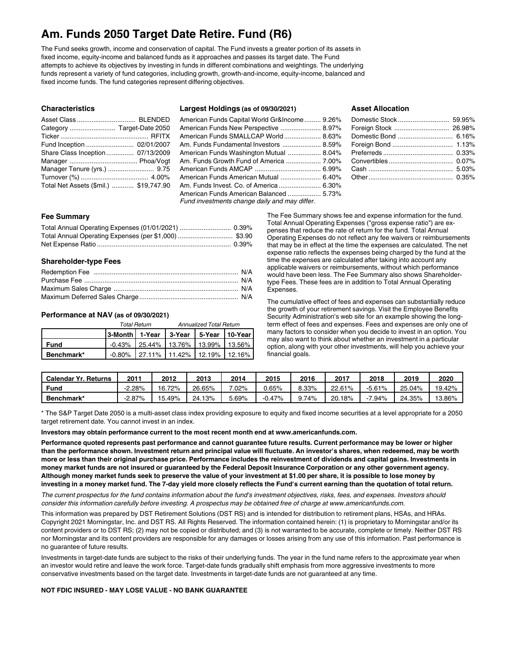## **Am. Funds 2050 Target Date Retire. Fund (R6)**

The Fund seeks growth, income and conservation of capital. The Fund invests a greater portion of its assets in fixed income, equity-income and balanced funds as it approaches and passes its target date. The Fund attempts to achieve its objectives by investing in funds in different combinations and weightings. The underlying funds represent a variety of fund categories, including growth, growth-and-income, equity-income, balanced and fixed income funds. The fund categories represent differing objectives.

## **Characteristics**

| Fund Inception  02/01/2007             |  |
|----------------------------------------|--|
| Share Class Inception 07/13/2009       |  |
|                                        |  |
| Manager Tenure (yrs.)  9.75            |  |
|                                        |  |
| Total Net Assets (\$mil.)  \$19,747.90 |  |

### **Largest Holdings (as of 09/30/2021)**

## American Funds Capital World Gr&Income......... 9.26% American Funds New Perspective ...................... 8.97% American Funds SMALLCAP World .................... 8.63% Am. Funds Fundamental Investors ..................... 8.59% American Funds Washington Mutual .................. 8.04% Am. Funds Growth Fund of America ................... 7.00% American Funds AMCAP .................................... 6.99% American Funds American Mutual ...................... 6.40% Am. Funds Invest. Co. of America ....................... 6.30% American Funds American Balanced .................. 5.73% *Fund investments change daily and may differ.*

## **Asset Allocation**

## **Fee Summary**

## **Shareholder-type Fees**

## **Performance at NAV (as of 09/30/2021)**

|             |                                      | <b>Total Return</b>                           | <b>Annualized Total Return</b> |  |  |  |
|-------------|--------------------------------------|-----------------------------------------------|--------------------------------|--|--|--|
|             | 3-Month 1-Year 3-Year 5-Year 10-Year |                                               |                                |  |  |  |
| <b>Fund</b> |                                      | $-0.43\%$   25.44%   13.76%   13.99%   13.56% |                                |  |  |  |
| Benchmark*  |                                      | $-0.80\%$ 27.11% 11.42% 12.19% 12.16%         |                                |  |  |  |

The Fee Summary shows fee and expense information for the fund. Total Annual Operating Expenses ("gross expense ratio") are expenses that reduce the rate of return for the fund. Total Annual Operating Expenses do not reflect any fee waivers or reimbursements that may be in effect at the time the expenses are calculated. The net expense ratio reflects the expenses being charged by the fund at the time the expenses are calculated after taking into account any applicable waivers or reimbursements, without which performance would have been less. The Fee Summary also shows Shareholdertype Fees. These fees are in addition to Total Annual Operating Expenses.

The cumulative effect of fees and expenses can substantially reduce the growth of your retirement savings. Visit the Employee Benefits Security Administration's web site for an example showing the longterm effect of fees and expenses. Fees and expenses are only one of many factors to consider when you decide to invest in an option. You may also want to think about whether an investment in a particular option, along with your other investments, will help you achieve your financial goals.

| <b>Calendar Yr. Returns</b> | $201^{\circ}$ | 2012   | 2013       | 2014    | 2015     | 2016  | 2017   | 2018   | 2019   | 2020   |
|-----------------------------|---------------|--------|------------|---------|----------|-------|--------|--------|--------|--------|
| Fund                        | -2.28%        | 16.72% | 26.65%     | $.02\%$ | $0.65\%$ | 8.33% | 22.61% | -5.61% | 25.04% | 19.42% |
| Benchmark*                  | $-2.87\%$     | 15.49% | 13%<br>24. | .69%    | $-0.47%$ | 9.74% | 20.18% | 7.94%  | 24.35% | 13.86% |

\* The S&P Target Date 2050 is a multi-asset class index providing exposure to equity and fixed income securities at a level appropriate for a 2050 target retirement date. You cannot invest in an index.

**Investors may obtain performance current to the most recent month end at www.americanfunds.com.**

Performance quoted represents past performance and cannot guarantee future results. Current performance may be lower or higher than the performance shown. Investment return and principal value will fluctuate. An investor's shares, when redeemed, may be worth more or less than their original purchase price. Performance includes the reinvestment of dividends and capital gains. Investments in money market funds are not insured or guaranteed by the Federal Deposit Insurance Corporation or any other government agency. Although money market funds seek to preserve the value of your investment at \$1.00 per share, it is possible to lose money by investing in a money market fund. The 7-day yield more closely reflects the Fund's current earning than the quotation of total return.

The current prospectus for the fund contains information about the fund's investment objectives, risks, fees, and expenses. Investors should consider this information carefully before investing. A prospectus may be obtained free of charge at www.americanfunds.com.

This information was prepared by DST Retirement Solutions (DST RS) and is intended for distribution to retirement plans, HSAs, and HRAs. Copyright 2021 Morningstar, Inc. and DST RS. All Rights Reserved. The information contained herein: (1) is proprietary to Morningstar and/or its content providers or to DST RS; (2) may not be copied or distributed; and (3) is not warranted to be accurate, complete or timely. Neither DST RS nor Morningstar and its content providers are responsible for any damages or losses arising from any use of this information. Past performance is no guarantee of future results.

Investments in target-date funds are subject to the risks of their underlying funds. The year in the fund name refers to the approximate year when an investor would retire and leave the work force. Target-date funds gradually shift emphasis from more aggressive investments to more conservative investments based on the target date. Investments in target-date funds are not guaranteed at any time.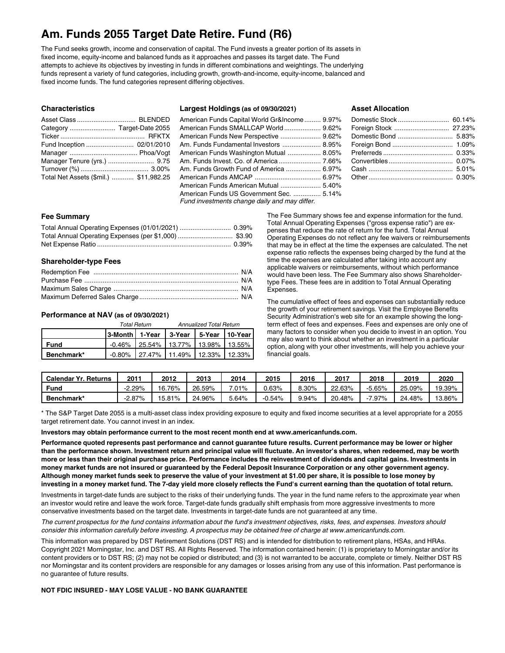## **Am. Funds 2055 Target Date Retire. Fund (R6)**

The Fund seeks growth, income and conservation of capital. The Fund invests a greater portion of its assets in fixed income, equity-income and balanced funds as it approaches and passes its target date. The Fund attempts to achieve its objectives by investing in funds in different combinations and weightings. The underlying funds represent a variety of fund categories, including growth, growth-and-income, equity-income, balanced and fixed income funds. The fund categories represent differing objectives.

## **Characteristics**

| Category  Target-Date 2055             |  |
|----------------------------------------|--|
|                                        |  |
|                                        |  |
|                                        |  |
|                                        |  |
|                                        |  |
|                                        |  |
| Total Net Assets (\$mil.)  \$11,982.25 |  |

## **Largest Holdings (as of 09/30/2021)**

## American Funds Capital World Gr&Income......... 9.97% American Funds SMALLCAP World .................... 9.62% American Funds New Perspective ...................... 9.62% Am. Funds Fundamental Investors ..................... 8.95% American Funds Washington Mutual .................. 8.05% Am. Funds Invest. Co. of America ....................... 7.66% Am. Funds Growth Fund of America ................... 6.97% American Funds AMCAP .................................... 6.97% American Funds American Mutual ...................... 5.40% American Funds US Government Sec. ............... 5.14% *Fund investments change daily and may differ.*

## **Asset Allocation**

#### **Fee Summary**

| Total Annual Operating Expenses (per \$1,000)  \$3.90 |  |
|-------------------------------------------------------|--|
|                                                       |  |

## **Shareholder-type Fees**

## **Performance at NAV (as of 09/30/2021)**

|             |                                              | <b>Total Return</b> | <b>Annualized Total Return</b>                |  |  |  |
|-------------|----------------------------------------------|---------------------|-----------------------------------------------|--|--|--|
|             | 3-Month   1-Year   3-Year   5-Year   10-Year |                     |                                               |  |  |  |
| <b>Fund</b> |                                              |                     | $-0.46\%$   25.54%   13.77%   13.98%   13.55% |  |  |  |
| Benchmark*  |                                              |                     | $-0.80\%$ 27.47% 11.49% 12.33% 12.33%         |  |  |  |

The Fee Summary shows fee and expense information for the fund. Total Annual Operating Expenses ("gross expense ratio") are expenses that reduce the rate of return for the fund. Total Annual Operating Expenses do not reflect any fee waivers or reimbursements that may be in effect at the time the expenses are calculated. The net expense ratio reflects the expenses being charged by the fund at the time the expenses are calculated after taking into account any applicable waivers or reimbursements, without which performance would have been less. The Fee Summary also shows Shareholdertype Fees. These fees are in addition to Total Annual Operating Expenses.

The cumulative effect of fees and expenses can substantially reduce the growth of your retirement savings. Visit the Employee Benefits Security Administration's web site for an example showing the longterm effect of fees and expenses. Fees and expenses are only one of many factors to consider when you decide to invest in an option. You may also want to think about whether an investment in a particular option, along with your other investments, will help you achieve your financial goals.

| <b>Calendar Yr. Returns</b> | $201^{\circ}$ | 2012   | 2013   | 2014             | 2015     | 2016  | 2017   | 2018     | 2019   | 2020   |
|-----------------------------|---------------|--------|--------|------------------|----------|-------|--------|----------|--------|--------|
| Fund                        | -2.29%        | 16.76% | 26.59% | $^{\prime}.01\%$ | $0.63\%$ | 8.30% | 22.63% | $-5.65%$ | 25.09% | 19.39% |
| Benchmark*                  | $-2.87\%$     | 15.81% | 24.96% | $5.64\%$         | $-0.54%$ | 9.94% | 20.48% | $.97\%$  | 24.48% | 13.86% |

\* The S&P Target Date 2055 is a multi-asset class index providing exposure to equity and fixed income securities at a level appropriate for a 2055 target retirement date. You cannot invest in an index.

**Investors may obtain performance current to the most recent month end at www.americanfunds.com.**

Performance quoted represents past performance and cannot guarantee future results. Current performance may be lower or higher than the performance shown. Investment return and principal value will fluctuate. An investor's shares, when redeemed, may be worth more or less than their original purchase price. Performance includes the reinvestment of dividends and capital gains. Investments in money market funds are not insured or guaranteed by the Federal Deposit Insurance Corporation or any other government agency. Although money market funds seek to preserve the value of your investment at \$1.00 per share, it is possible to lose money by investing in a money market fund. The 7-day yield more closely reflects the Fund's current earning than the quotation of total return.

Investments in target-date funds are subject to the risks of their underlying funds. The year in the fund name refers to the approximate year when an investor would retire and leave the work force. Target-date funds gradually shift emphasis from more aggressive investments to more conservative investments based on the target date. Investments in target-date funds are not guaranteed at any time.

The current prospectus for the fund contains information about the fund's investment objectives, risks, fees, and expenses. Investors should consider this information carefully before investing. A prospectus may be obtained free of charge at www.americanfunds.com.

This information was prepared by DST Retirement Solutions (DST RS) and is intended for distribution to retirement plans, HSAs, and HRAs. Copyright 2021 Morningstar, Inc. and DST RS. All Rights Reserved. The information contained herein: (1) is proprietary to Morningstar and/or its content providers or to DST RS; (2) may not be copied or distributed; and (3) is not warranted to be accurate, complete or timely. Neither DST RS nor Morningstar and its content providers are responsible for any damages or losses arising from any use of this information. Past performance is no guarantee of future results.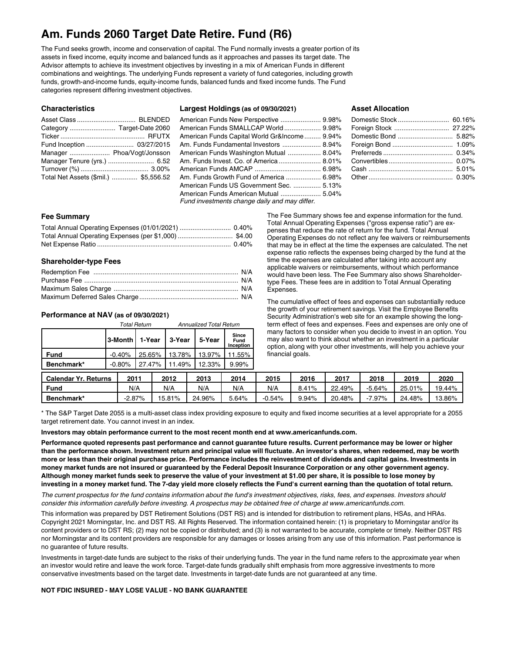## **Am. Funds 2060 Target Date Retire. Fund (R6)**

The Fund seeks growth, income and conservation of capital. The Fund normally invests a greater portion of its assets in fixed income, equity income and balanced funds as it approaches and passes its target date. The Advisor attempts to achieve its investment objectives by investing in a mix of American Funds in different combinations and weightings. The underlying Funds represent a variety of fund categories, including growth funds, growth-and-income funds, equity-income funds, balanced funds and fixed income funds. The Fund categories represent differing investment objectives.

#### **Characteristics**

| Manager  Phoa/Vogt/Jonsson            |  |
|---------------------------------------|--|
| Manager Tenure (yrs.)  6.52           |  |
|                                       |  |
| Total Net Assets (\$mil.)  \$5,556.52 |  |

### **Largest Holdings (as of 09/30/2021)**

## American Funds New Perspective ...................... 9.98% American Funds SMALLCAP World .................... 9.98% American Funds Capital World Gr&Income......... 9.94% Am. Funds Fundamental Investors ..................... 8.94% American Funds Washington Mutual .................. 8.04% Am. Funds Invest. Co. of America ....................... 8.01% American Funds AMCAP .................................... 6.98% Am. Funds Growth Fund of America ................... 6.98% American Funds US Government Sec. ............... 5.13% American Funds American Mutual ...................... 5.04% *Fund investments change daily and may differ.*

## **Asset Allocation**

| Domestic Stock  60.16% |  |
|------------------------|--|
|                        |  |
|                        |  |
|                        |  |
|                        |  |
|                        |  |
|                        |  |
|                        |  |
|                        |  |

## **Fee Summary**

## **Shareholder-type Fees**

## **Performance at NAV (as of 09/30/2021)**

|                      | <b>Total Return</b> |           |         |  | <b>Annualized Total Return</b> |  |        |                                          |
|----------------------|---------------------|-----------|---------|--|--------------------------------|--|--------|------------------------------------------|
|                      |                     | 3-Month L | 1-Year  |  | 3-Year                         |  | 5-Year | <b>Since</b><br><b>Fund</b><br>Inception |
| Fund                 |                     | $-0.40%$  |         |  | 25.65%   13.78%                |  | 13.97% | 11.55%                                   |
| Benchmark*           |                     | $-0.80%$  | 127.47% |  | $11.49\%$                      |  | 12.33% | $9.99\%$                                 |
| Colondor Vr. Doturne |                     | 2011      |         |  | 2012                           |  | つハイつ   | <b>2014</b>                              |

The Fee Summary shows fee and expense information for the fund. Total Annual Operating Expenses ("gross expense ratio") are expenses that reduce the rate of return for the fund. Total Annual Operating Expenses do not reflect any fee waivers or reimbursements that may be in effect at the time the expenses are calculated. The net expense ratio reflects the expenses being charged by the fund at the time the expenses are calculated after taking into account any applicable waivers or reimbursements, without which performance would have been less. The Fee Summary also shows Shareholdertype Fees. These fees are in addition to Total Annual Operating Expenses.

The cumulative effect of fees and expenses can substantially reduce the growth of your retirement savings. Visit the Employee Benefits Security Administration's web site for an example showing the longterm effect of fees and expenses. Fees and expenses are only one of many factors to consider when you decide to invest in an option. You may also want to think about whether an investment in a particular option, along with your other investments, will help you achieve your financial goals.

| <b>Calendar Yr. Returns</b> | $201^{\circ}$ | 2012   | 2013   | 2014  | 2015     | 2016  | 2017   | 2018    | 2019   | 2020   |
|-----------------------------|---------------|--------|--------|-------|----------|-------|--------|---------|--------|--------|
| Fund                        | N/A           | N/A    | N/A    | N/A   | N/A      | 8.41% | 22.49% | -5.64%  | 25.01% | 19.44% |
| Benchmark*                  | -2.87%        | 15.81% | 24.96% | 5.64% | $-0.54%$ | 9.94% | 20.48% | $.97\%$ | 24.48% | 13.86% |

\* The S&P Target Date 2055 is a multi-asset class index providing exposure to equity and fixed income securities at a level appropriate for a 2055 target retirement date. You cannot invest in an index.

**Investors may obtain performance current to the most recent month end at www.americanfunds.com.**

Performance quoted represents past performance and cannot guarantee future results. Current performance may be lower or higher than the performance shown. Investment return and principal value will fluctuate. An investor's shares, when redeemed, may be worth more or less than their original purchase price. Performance includes the reinvestment of dividends and capital gains. Investments in money market funds are not insured or guaranteed by the Federal Deposit Insurance Corporation or any other government agency. Although money market funds seek to preserve the value of your investment at \$1.00 per share, it is possible to lose money by investing in a money market fund. The 7-day yield more closely reflects the Fund's current earning than the quotation of total return.

The current prospectus for the fund contains information about the fund's investment objectives, risks, fees, and expenses. Investors should consider this information carefully before investing. A prospectus may be obtained free of charge at www.americanfunds.com.

This information was prepared by DST Retirement Solutions (DST RS) and is intended for distribution to retirement plans, HSAs, and HRAs. Copyright 2021 Morningstar, Inc. and DST RS. All Rights Reserved. The information contained herein: (1) is proprietary to Morningstar and/or its content providers or to DST RS; (2) may not be copied or distributed; and (3) is not warranted to be accurate, complete or timely. Neither DST RS nor Morningstar and its content providers are responsible for any damages or losses arising from any use of this information. Past performance is no guarantee of future results.

Investments in target-date funds are subject to the risks of their underlying funds. The year in the fund name refers to the approximate year when an investor would retire and leave the work force. Target-date funds gradually shift emphasis from more aggressive investments to more conservative investments based on the target date. Investments in target-date funds are not guaranteed at any time.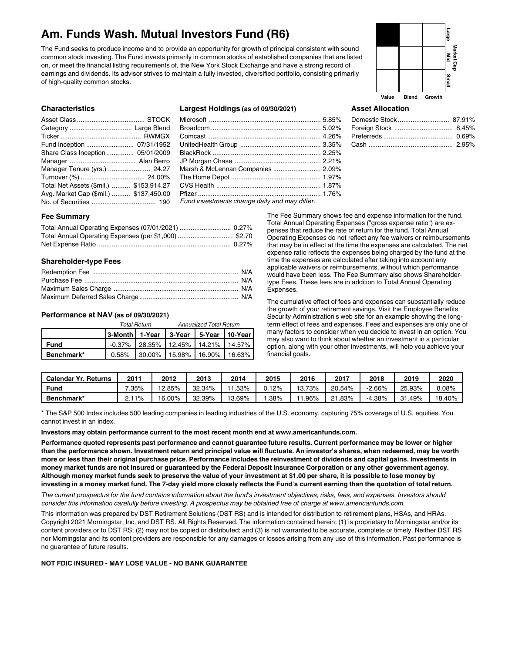## **Am. Funds Wash. Mutual Investors Fund (R6)**

The Fund seeks to produce income and to provide an opportunity for growth of principal consistent with sound common stock investing. The Fund invests primarily in common stocks of established companies that are listed on, or meet the financial listing requirements of, the New York Stock Exchange and have a strong record of earnings and dividends. Its advisor strives to maintain a fully invested, diversified portfolio, consisting primarily of high-quality common stocks.



#### **Characteristics**

| Fund Inception  07/31/1952              |  |
|-----------------------------------------|--|
| Share Class Inception 05/01/2009        |  |
|                                         |  |
| Manager Tenure (yrs.)  24.27            |  |
|                                         |  |
| Total Net Assets (\$mil.)  \$153,914.27 |  |
| Avg. Market Cap (\$mil.)  \$137,450.00  |  |
|                                         |  |

## **Largest Holdings (as of 09/30/2021)**

| Marsh & McLennan Companies  2.09%             |  |
|-----------------------------------------------|--|
|                                               |  |
|                                               |  |
|                                               |  |
| Fund investments change daily and may differ. |  |

## **Asset Allocation**

## **Fee Summary**

## **Shareholder-type Fees**

## **Performance at NAV (as of 09/30/2021)**

|            |                                              | <b>Total Return</b> | <b>Annualized Total Return</b>                |  |  |  |
|------------|----------------------------------------------|---------------------|-----------------------------------------------|--|--|--|
|            | 3-Month   1-Year   3-Year   5-Year   10-Year |                     |                                               |  |  |  |
| Fund       |                                              |                     | $-0.37\%$   28.35%   12.45%   14.21%   14.57% |  |  |  |
| Benchmark* |                                              |                     | $0.58\%$ 30.00% 15.98% 16.90% 16.63%          |  |  |  |

The Fee Summary shows fee and expense information for the fund. Total Annual Operating Expenses ("gross expense ratio") are expenses that reduce the rate of return for the fund. Total Annual Operating Expenses do not reflect any fee waivers or reimbursements that may be in effect at the time the expenses are calculated. The net expense ratio reflects the expenses being charged by the fund at the time the expenses are calculated after taking into account any applicable waivers or reimbursements, without which performance would have been less. The Fee Summary also shows Shareholdertype Fees. These fees are in addition to Total Annual Operating Expenses.

The cumulative effect of fees and expenses can substantially reduce the growth of your retirement savings. Visit the Employee Benefits Security Administration's web site for an example showing the longterm effect of fees and expenses. Fees and expenses are only one of many factors to consider when you decide to invest in an option. You may also want to think about whether an investment in a particular option, along with your other investments, will help you achieve your financial goals.

| <b>Calendar Yr. Returns</b> | 201                  | 2012   | 2013   | 2014   | 2015  | 2016  | 2017   | 2018   | 2019          | 2020   |
|-----------------------------|----------------------|--------|--------|--------|-------|-------|--------|--------|---------------|--------|
| Fund                        | .35%                 | 12.85% | 32.34% | .53%   | J.12% | 3.73% | 20.54% | 2.66%  | 25.93%        | 8.08%  |
| Benchmark*                  | $1\%$<br><u>. . </u> | 16.00% | 32.39% | 13.69% | .38%  | 1.96% | .83%   | -4.38% | 31.49%<br>-91 | 18.40% |

\* The S&P 500 Index includes 500 leading companies in leading industries of the U.S. economy, capturing 75% coverage of U.S. equities. You cannot invest in an index.

**Investors may obtain performance current to the most recent month end at www.americanfunds.com.**

Performance quoted represents past performance and cannot guarantee future results. Current performance may be lower or higher than the performance shown. Investment return and principal value will fluctuate. An investor's shares, when redeemed, may be worth more or less than their original purchase price. Performance includes the reinvestment of dividends and capital gains. Investments in money market funds are not insured or guaranteed by the Federal Deposit Insurance Corporation or any other government agency. Although money market funds seek to preserve the value of your investment at \$1.00 per share, it is possible to lose money by investing in a money market fund. The 7-day yield more closely reflects the Fund's current earning than the quotation of total return.

The current prospectus for the fund contains information about the fund's investment objectives, risks, fees, and expenses. Investors should consider this information carefully before investing. A prospectus may be obtained free of charge at www.americanfunds.com.

This information was prepared by DST Retirement Solutions (DST RS) and is intended for distribution to retirement plans, HSAs, and HRAs. Copyright 2021 Morningstar, Inc. and DST RS. All Rights Reserved. The information contained herein: (1) is proprietary to Morningstar and/or its content providers or to DST RS; (2) may not be copied or distributed; and (3) is not warranted to be accurate, complete or timely. Neither DST RS nor Morningstar and its content providers are responsible for any damages or losses arising from any use of this information. Past performance is no guarantee of future results.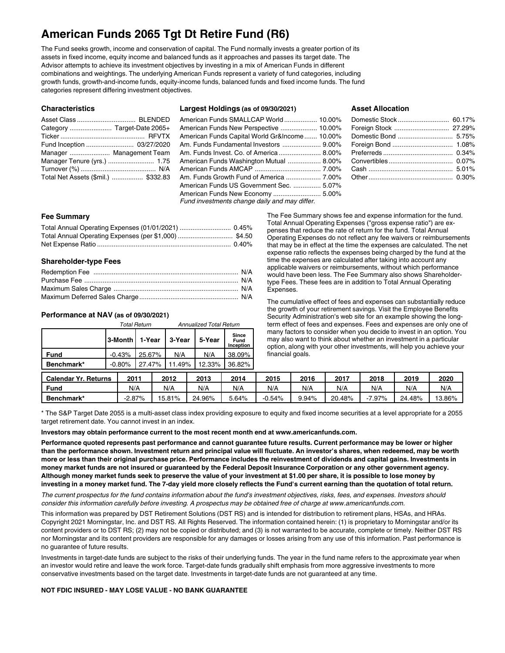## **American Funds 2065 Tgt Dt Retire Fund (R6)**

The Fund seeks growth, income and conservation of capital. The Fund normally invests a greater portion of its assets in fixed income, equity income and balanced funds as it approaches and passes its target date. The Advisor attempts to achieve its investment objectives by investing in a mix of American Funds in different combinations and weightings. The underlying American Funds represent a variety of fund categories, including growth funds, growth-and-income funds, equity-income funds, balanced funds and fixed income funds. The fund categories represent differing investment objectives.

| <b>Characteristics</b> |  |
|------------------------|--|
|                        |  |

| Fund Inception  03/27/2020          |  |
|-------------------------------------|--|
| Manager  Management Team            |  |
| Manager Tenure (yrs.)  1.75         |  |
|                                     |  |
| Total Net Assets (\$mil.)  \$332.83 |  |

## **Largest Holdings (as of 09/30/2021)**

## American Funds SMALLCAP World .................. 10.00% American Funds New Perspective .................... 10.00% American Funds Capital World Gr&Income....... 10.00% Am. Funds Fundamental Investors ..................... 9.00% Am. Funds Invest. Co. of America ....................... 8.00% American Funds Washington Mutual .................. 8.00% American Funds AMCAP .................................... 7.00%

Am. Funds Growth Fund of America ................... 7.00%

American Funds US Government Sec. ............... 5.07% American Funds New Economy .......................... 5.00%

*Fund investments change daily and may differ.*

## **Asset Allocation**

## **Fee Summary**

## **Shareholder-type Fees**

## **Performance at NAV (as of 09/30/2021)**

|            |                  | <b>Total Return</b> |  |        |                 | <b>Annualized Total Return</b> |  |  |
|------------|------------------|---------------------|--|--------|-----------------|--------------------------------|--|--|
|            | 3-Month   1-Year |                     |  | 3-Year | 5-Year          | Since<br>Fund<br>Inception     |  |  |
| Fund       | $-0.43%$         | 25.67%              |  | N/A    | N/A             | 38.09%                         |  |  |
| Benchmark* | $-0.80%$         | 27.47%              |  |        | 11.49%   12.33% | 36.82%                         |  |  |
| .          |                  | .                   |  |        |                 | .                              |  |  |

The Fee Summary shows fee and expense information for the fund. Total Annual Operating Expenses ("gross expense ratio") are expenses that reduce the rate of return for the fund. Total Annual Operating Expenses do not reflect any fee waivers or reimbursements that may be in effect at the time the expenses are calculated. The net expense ratio reflects the expenses being charged by the fund at the time the expenses are calculated after taking into account any applicable waivers or reimbursements, without which performance would have been less. The Fee Summary also shows Shareholdertype Fees. These fees are in addition to Total Annual Operating Expenses.

The cumulative effect of fees and expenses can substantially reduce the growth of your retirement savings. Visit the Employee Benefits Security Administration's web site for an example showing the longterm effect of fees and expenses. Fees and expenses are only one of many factors to consider when you decide to invest in an option. You may also want to think about whether an investment in a particular option, along with your other investments, will help you achieve your financial goals.

| <b>Calendar Yr. Returns</b> | $201^{\circ}$ | 2012   | 2013   | 2014  | 2015     | 2016  | 2017   | 2018  | 2019   | 2020   |
|-----------------------------|---------------|--------|--------|-------|----------|-------|--------|-------|--------|--------|
| Fung                        | N/A           | N/A    | N/A    | N/A   | N/A      | N/A   | N/A    | N/A   | N/A    | N/A    |
| Benchmark*                  | $-2.87\%$     | 15.81% | 24.96% | 5.64% | $-0.54%$ | 9.94% | 20.48% | 7.97% | 24.48% | 13.86% |

\* The S&P Target Date 2055 is a multi-asset class index providing exposure to equity and fixed income securities at a level appropriate for a 2055 target retirement date. You cannot invest in an index.

**Investors may obtain performance current to the most recent month end at www.americanfunds.com.**

Performance quoted represents past performance and cannot guarantee future results. Current performance may be lower or higher than the performance shown. Investment return and principal value will fluctuate. An investor's shares, when redeemed, may be worth more or less than their original purchase price. Performance includes the reinvestment of dividends and capital gains. Investments in money market funds are not insured or guaranteed by the Federal Deposit Insurance Corporation or any other government agency. Although money market funds seek to preserve the value of your investment at \$1.00 per share, it is possible to lose money by investing in a money market fund. The 7-day yield more closely reflects the Fund's current earning than the quotation of total return.

The current prospectus for the fund contains information about the fund's investment objectives, risks, fees, and expenses. Investors should consider this information carefully before investing. A prospectus may be obtained free of charge at www.americanfunds.com.

This information was prepared by DST Retirement Solutions (DST RS) and is intended for distribution to retirement plans, HSAs, and HRAs. Copyright 2021 Morningstar, Inc. and DST RS. All Rights Reserved. The information contained herein: (1) is proprietary to Morningstar and/or its content providers or to DST RS; (2) may not be copied or distributed; and (3) is not warranted to be accurate, complete or timely. Neither DST RS nor Morningstar and its content providers are responsible for any damages or losses arising from any use of this information. Past performance is no guarantee of future results.

Investments in target-date funds are subject to the risks of their underlying funds. The year in the fund name refers to the approximate year when an investor would retire and leave the work force. Target-date funds gradually shift emphasis from more aggressive investments to more conservative investments based on the target date. Investments in target-date funds are not guaranteed at any time.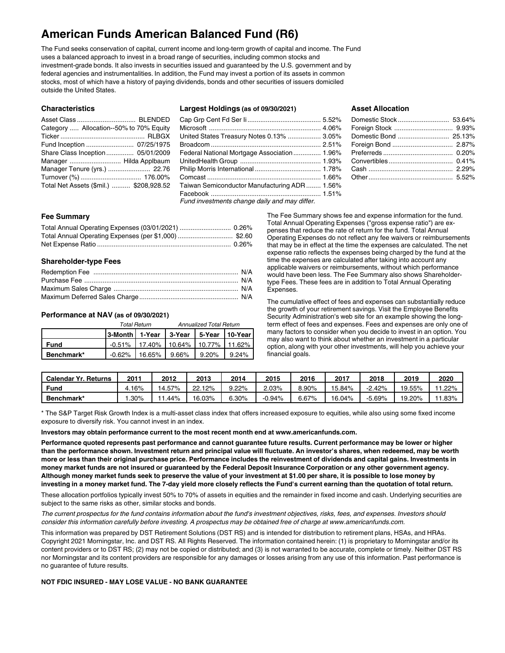## **American Funds American Balanced Fund (R6)**

The Fund seeks conservation of capital, current income and long-term growth of capital and income. The Fund uses a balanced approach to invest in a broad range of securities, including common stocks and investment-grade bonds. It also invests in securities issued and guaranteed by the U.S. government and by federal agencies and instrumentalities. In addition, the Fund may invest a portion of its assets in common stocks, most of which have a history of paying dividends, bonds and other securities of issuers domiciled outside the United States.

| <b>Characteristics</b>                  |  |
|-----------------------------------------|--|
|                                         |  |
| Category  Allocation--50% to 70% Equity |  |
|                                         |  |
|                                         |  |
| Share Class Inception 05/01/2009        |  |
| Manager  Hilda Applbaum                 |  |

Manager Tenure (yrs.) ....................... 22.76 Turnover (%) ................................. 176.00% Total Net Assets (\$mil.) .......... \$208,928.52

**Characteristics**

|  |  |  | Largest Holdings (as of 09/30/2021) |
|--|--|--|-------------------------------------|
|--|--|--|-------------------------------------|

| United States Treasury Notes 0.13%  3.05%   |  |
|---------------------------------------------|--|
|                                             |  |
| Federal National Mortgage Association 1.96% |  |

UnitedHealth Group ............................................ 1.93% Philip Morris International .................................... 1.78% Comcast .............................................................. 1.66% Taiwan Semiconductor Manufacturing ADR ........ 1.56% Facebook ............................................................ 1.51% *Fund investments change daily and may differ.*

## **Asset Allocation**

## **Fee Summary**

## **Shareholder-type Fees**

## **Performance at NAV (as of 09/30/2021)**

|            | Total Return                                 | <b>Annualized Total Return</b>                |  |  |  |  |
|------------|----------------------------------------------|-----------------------------------------------|--|--|--|--|
|            | 3-Month   1-Year   3-Year   5-Year   10-Year |                                               |  |  |  |  |
| Fund       |                                              | $-0.51\%$   17.40%   10.64%   10.77%   11.62% |  |  |  |  |
| Benchmark* |                                              | $-0.62\%$   16.65%   9.66%   9.20%   9.24%    |  |  |  |  |

The Fee Summary shows fee and expense information for the fund. Total Annual Operating Expenses ("gross expense ratio") are expenses that reduce the rate of return for the fund. Total Annual Operating Expenses do not reflect any fee waivers or reimbursements that may be in effect at the time the expenses are calculated. The net expense ratio reflects the expenses being charged by the fund at the time the expenses are calculated after taking into account any applicable waivers or reimbursements, without which performance would have been less. The Fee Summary also shows Shareholdertype Fees. These fees are in addition to Total Annual Operating Expenses.

The cumulative effect of fees and expenses can substantially reduce the growth of your retirement savings. Visit the Employee Benefits Security Administration's web site for an example showing the longterm effect of fees and expenses. Fees and expenses are only one of many factors to consider when you decide to invest in an option. You may also want to think about whether an investment in a particular option, along with your other investments, will help you achieve your financial goals.

| Calendar Yr.<br>Returns | 201  | 2012   | 2013      | 2014     | 2015     | 2016     | 2017   | 2018     | 2019   | 2020         |
|-------------------------|------|--------|-----------|----------|----------|----------|--------|----------|--------|--------------|
| <b>Fund</b>             | 16%  | 14.57% | 12%<br>22 | 9.22%    | ∠.03%    | $8.90\%$ | 15.84% | $-2.42%$ | 19.55% | 1.22%<br>. . |
| Benchmark*              | .30% | . .44% | 16.03%    | $6.30\%$ | $-0.94%$ | 6.67%    | 16.04% | $-5.69%$ | 19.20% | $1.83\%$     |

\* The S&P Target Risk Growth Index is a multi-asset class index that offers increased exposure to equities, while also using some fixed income exposure to diversify risk. You cannot invest in an index.

**Investors may obtain performance current to the most recent month end at www.americanfunds.com.**

Performance quoted represents past performance and cannot guarantee future results. Current performance may be lower or higher than the performance shown. Investment return and principal value will fluctuate. An investor's shares, when redeemed, may be worth more or less than their original purchase price. Performance includes the reinvestment of dividends and capital gains. Investments in money market funds are not insured or guaranteed by the Federal Deposit Insurance Corporation or any other government agency. Although money market funds seek to preserve the value of your investment at \$1.00 per share, it is possible to lose money by investing in a money market fund. The 7-day yield more closely reflects the Fund's current earning than the quotation of total return.

These allocation portfolios typically invest 50% to 70% of assets in equities and the remainder in fixed income and cash. Underlying securities are subject to the same risks as other, similar stocks and bonds.

The current prospectus for the fund contains information about the fund's investment objectives, risks, fees, and expenses. Investors should consider this information carefully before investing. A prospectus may be obtained free of charge at www.americanfunds.com.

This information was prepared by DST Retirement Solutions (DST RS) and is intended for distribution to retirement plans, HSAs, and HRAs. Copyright 2021 Morningstar, Inc. and DST RS. All Rights Reserved. The information contained herein: (1) is proprietary to Morningstar and/or its content providers or to DST RS; (2) may not be copied or distributed; and (3) is not warranted to be accurate, complete or timely. Neither DST RS nor Morningstar and its content providers are responsible for any damages or losses arising from any use of this information. Past performance is no guarantee of future results.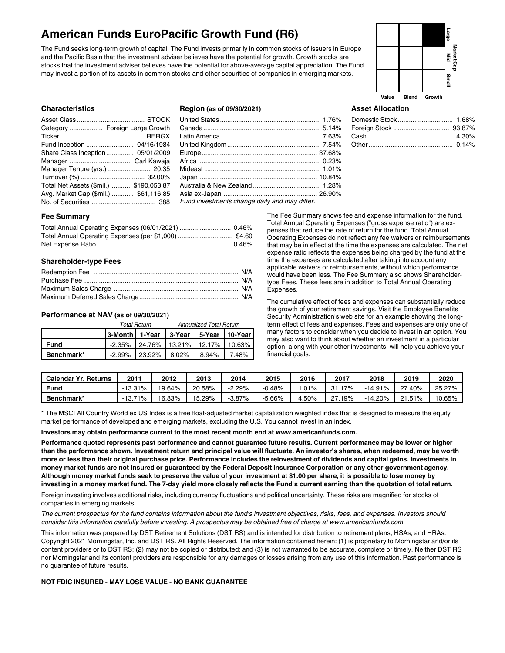## **American Funds EuroPacific Growth Fund (R6)**

The Fund seeks long-term growth of capital. The Fund invests primarily in common stocks of issuers in Europe and the Pacific Basin that the investment adviser believes have the potential for growth. Growth stocks are stocks that the investment adviser believes have the potential for above-average capital appreciation. The Fund may invest a portion of its assets in common stocks and other securities of companies in emerging markets.



## **Characteristics**

| Category  Foreign Large Growth          |
|-----------------------------------------|
|                                         |
| Fund Inception  04/16/1984              |
| Share Class Inception 05/01/2009        |
|                                         |
| Manager Tenure (yrs.)  20.35            |
|                                         |
| Total Net Assets (\$mil.)  \$190,053.87 |
| Avg. Market Cap (\$mil.)  \$61,116.85   |
|                                         |
|                                         |

### **Region (as of 09/30/2021)**

| Fund investments change daily and may differ. |  |
|-----------------------------------------------|--|

#### **Asset Allocation**

#### **Fee Summary**

#### **Shareholder-type Fees**

#### **Performance at NAV (as of 09/30/2021)**

|            | Total Return                                 | <b>Annualized Total Return</b> |  |  |  |  |
|------------|----------------------------------------------|--------------------------------|--|--|--|--|
|            | 3-Month   1-Year   3-Year   5-Year   10-Year |                                |  |  |  |  |
| Fund       | $-2.35\%$ 24.76% 13.21% 12.17% 10.63%        |                                |  |  |  |  |
| Benchmark* | $-2.99\%$ 23.92% 8.02% 8.94% 7.48%           |                                |  |  |  |  |

The Fee Summary shows fee and expense information for the fund. Total Annual Operating Expenses ("gross expense ratio") are expenses that reduce the rate of return for the fund. Total Annual Operating Expenses do not reflect any fee waivers or reimbursements that may be in effect at the time the expenses are calculated. The net expense ratio reflects the expenses being charged by the fund at the time the expenses are calculated after taking into account any applicable waivers or reimbursements, without which performance would have been less. The Fee Summary also shows Shareholdertype Fees. These fees are in addition to Total Annual Operating Expenses.

The cumulative effect of fees and expenses can substantially reduce the growth of your retirement savings. Visit the Employee Benefits Security Administration's web site for an example showing the longterm effect of fees and expenses. Fees and expenses are only one of many factors to consider when you decide to invest in an option. You may also want to think about whether an investment in a particular option, along with your other investments, will help you achieve your financial goals.

| <b>Calendar Yr. Returns</b> | 201       | 2012   | 2013   | 2014     | 2015      | 2016    | 2017   | 2018      | 2019   | 2020   |
|-----------------------------|-----------|--------|--------|----------|-----------|---------|--------|-----------|--------|--------|
| Fund                        | $-13.31%$ | 19.64% | 20.58% | $-2.29%$ | 0.48%     | .01%    | 31.17% | -14.91%   | 27.40% | 25.27% |
| Benchmark*                  | 71%       | 16.83% | 15.29% | -3.87%   | $-5.66\%$ | $.50\%$ | ີ 19%  | $-14.20%$ | 21.51% | 10.65% |

\* The MSCI All Country World ex US Index is a free float-adjusted market capitalization weighted index that is designed to measure the equity market performance of developed and emerging markets, excluding the U.S. You cannot invest in an index.

#### **Investors may obtain performance current to the most recent month end at www.americanfunds.com.**

Performance quoted represents past performance and cannot guarantee future results. Current performance may be lower or higher than the performance shown. Investment return and principal value will fluctuate. An investor's shares, when redeemed, may be worth more or less than their original purchase price. Performance includes the reinvestment of dividends and capital gains. Investments in money market funds are not insured or guaranteed by the Federal Deposit Insurance Corporation or any other government agency. Although money market funds seek to preserve the value of your investment at \$1.00 per share, it is possible to lose money by investing in a money market fund. The 7-day yield more closely reflects the Fund's current earning than the quotation of total return.

Foreign investing involves additional risks, including currency fluctuations and political uncertainty. These risks are magnified for stocks of companies in emerging markets.

The current prospectus for the fund contains information about the fund's investment objectives, risks, fees, and expenses. Investors should consider this information carefully before investing. A prospectus may be obtained free of charge at www.americanfunds.com.

This information was prepared by DST Retirement Solutions (DST RS) and is intended for distribution to retirement plans, HSAs, and HRAs. Copyright 2021 Morningstar, Inc. and DST RS. All Rights Reserved. The information contained herein: (1) is proprietary to Morningstar and/or its content providers or to DST RS; (2) may not be copied or distributed; and (3) is not warranted to be accurate, complete or timely. Neither DST RS nor Morningstar and its content providers are responsible for any damages or losses arising from any use of this information. Past performance is no guarantee of future results.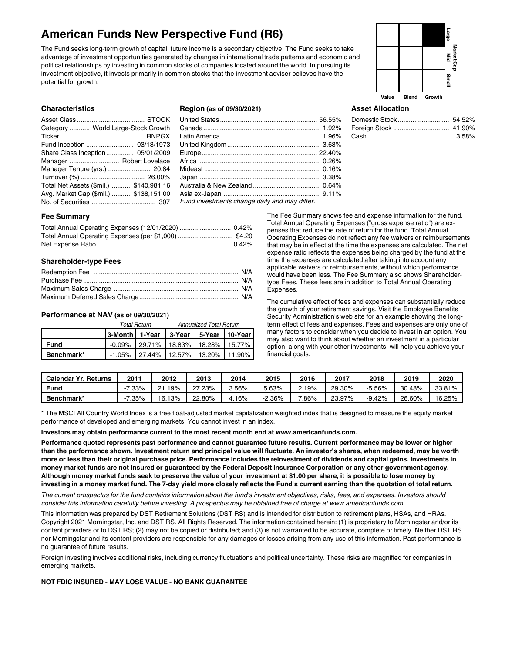## **American Funds New Perspective Fund (R6)**

The Fund seeks long-term growth of capital; future income is a secondary objective. The Fund seeks to take advantage of investment opportunities generated by changes in international trade patterns and economic and political relationships by investing in common stocks of companies located around the world. In pursuing its investment objective, it invests primarily in common stocks that the investment adviser believes have the potential for growth.



## **Characteristics**

| Category  World Large-Stock Growth      |  |
|-----------------------------------------|--|
|                                         |  |
| Fund Inception  03/13/1973              |  |
| Share Class Inception 05/01/2009        |  |
| Manager  Robert Lovelace                |  |
| Manager Tenure (yrs.)  20.84            |  |
|                                         |  |
| Total Net Assets (\$mil.)  \$140,981.16 |  |
| Avg. Market Cap (\$mil.)  \$138,151.00  |  |
|                                         |  |

## **Region (as of 09/30/2021)**

| Fund investments change daily and may differ. |  |
|-----------------------------------------------|--|

## **Asset Allocation**

## **Fee Summary**

## **Shareholder-type Fees**

## **Performance at NAV (as of 09/30/2021)**

|             |                                              | <b>Total Return</b> |                                               | <b>Annualized Total Return</b> |  |
|-------------|----------------------------------------------|---------------------|-----------------------------------------------|--------------------------------|--|
|             | 3-Month   1-Year   3-Year   5-Year   10-Year |                     |                                               |                                |  |
| <b>Fund</b> |                                              |                     | $-0.09\%$   29.71%   18.83%   18.28%   15.77% |                                |  |
| Benchmark*  |                                              |                     | $-1.05\%$ 27.44% 12.57% 13.20% 11.90%         |                                |  |

The Fee Summary shows fee and expense information for the fund. Total Annual Operating Expenses ("gross expense ratio") are expenses that reduce the rate of return for the fund. Total Annual Operating Expenses do not reflect any fee waivers or reimbursements that may be in effect at the time the expenses are calculated. The net expense ratio reflects the expenses being charged by the fund at the time the expenses are calculated after taking into account any applicable waivers or reimbursements, without which performance would have been less. The Fee Summary also shows Shareholdertype Fees. These fees are in addition to Total Annual Operating Expenses.

The cumulative effect of fees and expenses can substantially reduce the growth of your retirement savings. Visit the Employee Benefits Security Administration's web site for an example showing the longterm effect of fees and expenses. Fees and expenses are only one of many factors to consider when you decide to invest in an option. You may also want to think about whether an investment in a particular option, along with your other investments, will help you achieve your financial goals.

| <b>Calendar Yr. Returns</b> | $201^{\circ}$ | 2012        | 2013   | 2014    | 2015     | 2016  | 2017   | 2018     | 2019   | 2020   |
|-----------------------------|---------------|-------------|--------|---------|----------|-------|--------|----------|--------|--------|
| Fund                        | $.33\%$       | 19%<br>ົາ-1 | 27.23% | 3.56%   | $5.63\%$ | 2.19% | 29.30% | $-5.56%$ | 30.48% | 33.81% |
| Benchmark*                  | $.35\%$       | 16.13%      | 22.80% | $.16\%$ | 2.36%    | .86%  | 23.97% | $-9.42%$ | 26.60% | 16.25% |

\* The MSCI All Country World Index is a free float-adjusted market capitalization weighted index that is designed to measure the equity market performance of developed and emerging markets. You cannot invest in an index.

#### **Investors may obtain performance current to the most recent month end at www.americanfunds.com.**

Performance quoted represents past performance and cannot guarantee future results. Current performance may be lower or higher than the performance shown. Investment return and principal value will fluctuate. An investor's shares, when redeemed, may be worth more or less than their original purchase price. Performance includes the reinvestment of dividends and capital gains. Investments in money market funds are not insured or guaranteed by the Federal Deposit Insurance Corporation or any other government agency. Although money market funds seek to preserve the value of your investment at \$1.00 per share, it is possible to lose money by investing in a money market fund. The 7-day yield more closely reflects the Fund's current earning than the quotation of total return.

The current prospectus for the fund contains information about the fund's investment objectives, risks, fees, and expenses. Investors should consider this information carefully before investing. A prospectus may be obtained free of charge at www.americanfunds.com.

This information was prepared by DST Retirement Solutions (DST RS) and is intended for distribution to retirement plans, HSAs, and HRAs. Copyright 2021 Morningstar, Inc. and DST RS. All Rights Reserved. The information contained herein: (1) is proprietary to Morningstar and/or its content providers or to DST RS; (2) may not be copied or distributed; and (3) is not warranted to be accurate, complete or timely. Neither DST RS nor Morningstar and its content providers are responsible for any damages or losses arising from any use of this information. Past performance is no guarantee of future results.

Foreign investing involves additional risks, including currency fluctuations and political uncertainty. These risks are magnified for companies in emerging markets.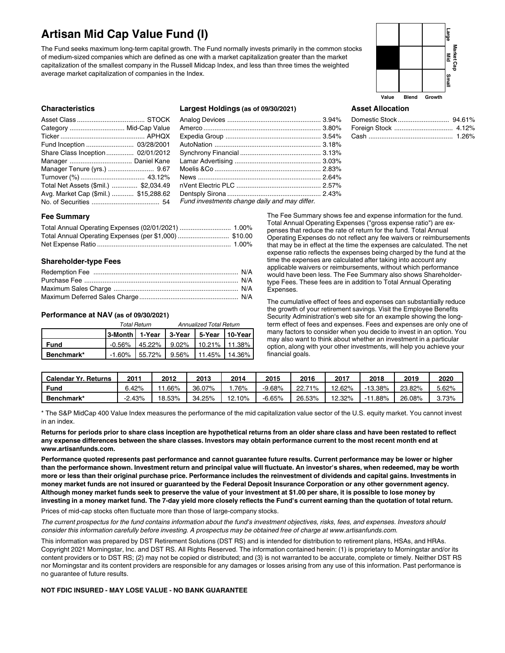## **Artisan Mid Cap Value Fund (I)**

The Fund seeks maximum long-term capital growth. The Fund normally invests primarily in the common stocks of medium-sized companies which are defined as one with a market capitalization greater than the market capitalization of the smallest company in the Russell Midcap Index, and less than three times the weighted average market capitalization of companies in the Index.



## **Characteristics**

| Category  Mid-Cap Value               |  |
|---------------------------------------|--|
|                                       |  |
|                                       |  |
| Share Class Inception 02/01/2012      |  |
|                                       |  |
| Manager Tenure (yrs.)  9.67           |  |
|                                       |  |
| Total Net Assets (\$mil.)  \$2,034.49 |  |
| Avg. Market Cap (\$mil.)  \$15,288.62 |  |
|                                       |  |

## **Largest Holdings (as of 09/30/2021)**

| Fund investments change daily and may differ. |  |
|-----------------------------------------------|--|

## **Asset Allocation**

## **Fee Summary**

## **Shareholder-type Fees**

## **Performance at NAV (as of 09/30/2021)**

|            | Total Return                                 | Annualized Total Return |  |  |
|------------|----------------------------------------------|-------------------------|--|--|
|            |                                              |                         |  |  |
| Fund       | $-0.56\%$   45.22%   9.02%   10.21%   11.38% |                         |  |  |
| Benchmark* | -1.60% 55.72% 9.56% 111.45% 14.36%           |                         |  |  |

The Fee Summary shows fee and expense information for the fund. Total Annual Operating Expenses ("gross expense ratio") are expenses that reduce the rate of return for the fund. Total Annual Operating Expenses do not reflect any fee waivers or reimbursements that may be in effect at the time the expenses are calculated. The net expense ratio reflects the expenses being charged by the fund at the time the expenses are calculated after taking into account any applicable waivers or reimbursements, without which performance would have been less. The Fee Summary also shows Shareholdertype Fees. These fees are in addition to Total Annual Operating Expenses.

The cumulative effect of fees and expenses can substantially reduce the growth of your retirement savings. Visit the Employee Benefits Security Administration's web site for an example showing the longterm effect of fees and expenses. Fees and expenses are only one of many factors to consider when you decide to invest in an option. You may also want to think about whether an investment in a particular option, along with your other investments, will help you achieve your financial goals.

| <b>Calendar Yr. Returns</b> | 2011  | 2012   | 2013   | 2014   | 2015     | 2016        | 2017     | 2018      | 2019   | 2020  |
|-----------------------------|-------|--------|--------|--------|----------|-------------|----------|-----------|--------|-------|
| <b>Fund</b>                 | 6.42% | .66%   | 36.07% | .76%   | -9.68%   | 71%<br>22.7 | $2.62\%$ | $-13.38%$ | 23.82% | 5.62% |
| Benchmark*                  | 2.43% | 18.53% | 34.25% | 12.10% | $-6.65%$ | 26.53%      | 2.32%    | .88%      | 26.08% | 3.73% |

\* The S&P MidCap 400 Value Index measures the performance of the mid capitalization value sector of the U.S. equity market. You cannot invest in an index.

Returns for periods prior to share class inception are hypothetical returns from an older share class and have been restated to reflect any expense differences between the share classes. Investors may obtain performance current to the most recent month end at **www.artisanfunds.com.**

Performance quoted represents past performance and cannot guarantee future results. Current performance may be lower or higher than the performance shown. Investment return and principal value will fluctuate. An investor's shares, when redeemed, may be worth more or less than their original purchase price. Performance includes the reinvestment of dividends and capital gains. Investments in money market funds are not insured or guaranteed by the Federal Deposit Insurance Corporation or any other government agency. Although money market funds seek to preserve the value of your investment at \$1.00 per share, it is possible to lose money by investing in a money market fund. The 7-day yield more closely reflects the Fund's current earning than the quotation of total return.

Prices of mid-cap stocks often fluctuate more than those of large-company stocks.

The current prospectus for the fund contains information about the fund's investment objectives, risks, fees, and expenses. Investors should consider this information carefully before investing. A prospectus may be obtained free of charge at www.artisanfunds.com.

This information was prepared by DST Retirement Solutions (DST RS) and is intended for distribution to retirement plans, HSAs, and HRAs. Copyright 2021 Morningstar, Inc. and DST RS. All Rights Reserved. The information contained herein: (1) is proprietary to Morningstar and/or its content providers or to DST RS; (2) may not be copied or distributed; and (3) is not warranted to be accurate, complete or timely. Neither DST RS nor Morningstar and its content providers are responsible for any damages or losses arising from any use of this information. Past performance is no guarantee of future results.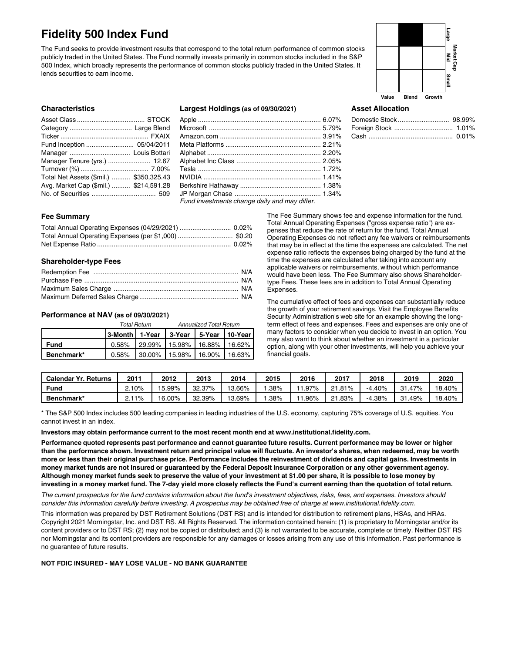## **Fidelity 500 Index Fund**

The Fund seeks to provide investment results that correspond to the total return performance of common stocks publicly traded in the United States. The Fund normally invests primarily in common stocks included in the S&P 500 Index, which broadly represents the performance of common stocks publicly traded in the United States. It lends securities to earn income.



Domestic Stock ............................ 98.99% Foreign Stock ................................ 1.01% Cash .............................................. 0.01%

## **Characteristics**

| Manager Tenure (yrs.)  12.67            |  |
|-----------------------------------------|--|
|                                         |  |
| Total Net Assets (\$mil.)  \$350,325.43 |  |
| Avg. Market Cap (\$mil.)  \$214,591.28  |  |
|                                         |  |

## **Largest Holdings (as of 09/30/2021)**

| Fund invoctments ebenge deily and may differ |  |
|----------------------------------------------|--|

## *Fund investments change daily and may differ.*

## **Fee Summary**

## **Shareholder-type Fees**

#### **Performance at NAV (as of 09/30/2021)**

|            |                                              | <b>Total Return</b> | <b>Annualized Total Return</b>       |  |  |  |
|------------|----------------------------------------------|---------------------|--------------------------------------|--|--|--|
|            | 3-Month   1-Year   3-Year   5-Year   10-Year |                     |                                      |  |  |  |
| Fund       |                                              |                     | 0.58% 29.99% 15.98% 16.88% 16.62%    |  |  |  |
| Benchmark* |                                              |                     | $0.58\%$ 30.00% 15.98% 16.90% 16.63% |  |  |  |

The Fee Summary shows fee and expense information for the fund. Total Annual Operating Expenses ("gross expense ratio") are expenses that reduce the rate of return for the fund. Total Annual Operating Expenses do not reflect any fee waivers or reimbursements that may be in effect at the time the expenses are calculated. The net expense ratio reflects the expenses being charged by the fund at the time the expenses are calculated after taking into account any applicable waivers or reimbursements, without which performance would have been less. The Fee Summary also shows Shareholdertype Fees. These fees are in addition to Total Annual Operating Expenses.

**Asset Allocation**

The cumulative effect of fees and expenses can substantially reduce the growth of your retirement savings. Visit the Employee Benefits Security Administration's web site for an example showing the longterm effect of fees and expenses. Fees and expenses are only one of many factors to consider when you decide to invest in an option. You may also want to think about whether an investment in a particular option, along with your other investments, will help you achieve your financial goals.

| <b>Calendar Yr. Returns</b> | 201 | 2012   | 2013   | 2014   | 2015 | 2016     | 2017           | 2018     | 2019   | 2020   |
|-----------------------------|-----|--------|--------|--------|------|----------|----------------|----------|--------|--------|
| Fund                        | 10% | 15.99% | 32.37% | 3.66%  | .38% | $1.97\%$ | .81%<br>$\sim$ | $-4.40%$ | 31.47% | 18.40% |
| Benchmark*                  | 11% | 16.00% | 32.39% | 13.69% | .38% | 1.96%    | 1.83%          | $-4.38%$ | 31.49% | 18.40% |

\* The S&P 500 Index includes 500 leading companies in leading industries of the U.S. economy, capturing 75% coverage of U.S. equities. You cannot invest in an index.

**Investors may obtain performance current to the most recent month end at www.institutional.fidelity.com.**

Performance quoted represents past performance and cannot guarantee future results. Current performance may be lower or higher than the performance shown. Investment return and principal value will fluctuate. An investor's shares, when redeemed, may be worth more or less than their original purchase price. Performance includes the reinvestment of dividends and capital gains. Investments in money market funds are not insured or guaranteed by the Federal Deposit Insurance Corporation or any other government agency. Although money market funds seek to preserve the value of your investment at \$1.00 per share, it is possible to lose money by investing in a money market fund. The 7-day yield more closely reflects the Fund's current earning than the quotation of total return.

The current prospectus for the fund contains information about the fund's investment objectives, risks, fees, and expenses. Investors should consider this information carefully before investing. A prospectus may be obtained free of charge at www.institutional.fidelity.com.

This information was prepared by DST Retirement Solutions (DST RS) and is intended for distribution to retirement plans, HSAs, and HRAs. Copyright 2021 Morningstar, Inc. and DST RS. All Rights Reserved. The information contained herein: (1) is proprietary to Morningstar and/or its content providers or to DST RS; (2) may not be copied or distributed; and (3) is not warranted to be accurate, complete or timely. Neither DST RS nor Morningstar and its content providers are responsible for any damages or losses arising from any use of this information. Past performance is no guarantee of future results.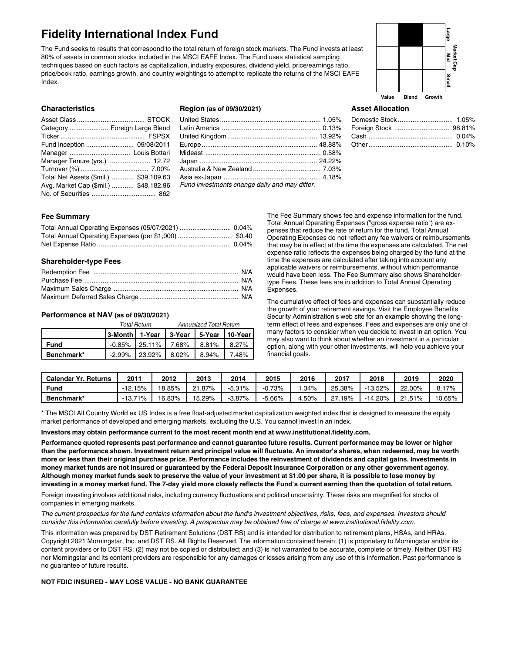## **Fidelity International Index Fund**

The Fund seeks to results that correspond to the total return of foreign stock markets. The Fund invests at least 80% of assets in common stocks included in the MSCI EAFE Index. The Fund uses statistical sampling techniques based on such factors as capitalization, industry exposures, dividend yield, price/earnings ratio, price/book ratio, earnings growth, and country weightings to attempt to replicate the returns of the MSCI EAFE Index.

## **Value Blend Growth Market Cap Large Mid** m<br>∃

### **Characteristics**

| Category  Foreign Large Blend          |  |
|----------------------------------------|--|
|                                        |  |
|                                        |  |
|                                        |  |
| Manager Tenure (yrs.)  12.72           |  |
|                                        |  |
| Total Net Assets (\$mil.)  \$39,109.63 |  |
| Avg. Market Cap (\$mil.)  \$48,182.96  |  |
|                                        |  |

## **Region (as of 09/30/2021)**

| Fund investments change daily and may differ. |
|-----------------------------------------------|
|                                               |

## **Asset Allocation**

## **Fee Summary**

## **Shareholder-type Fees**

## **Performance at NAV (as of 09/30/2021)**

|            |  | Total Return                 | Annualized Total Return |       |       |
|------------|--|------------------------------|-------------------------|-------|-------|
|            |  |                              |                         |       |       |
| Fund       |  | $-0.85\%$ 25.11% 7.68% 8.81% |                         |       | 8.27% |
| Benchmark* |  | -2.99% 23.92% 8.02%          |                         | 8.94% | 7.48% |

The Fee Summary shows fee and expense information for the fund. Total Annual Operating Expenses ("gross expense ratio") are expenses that reduce the rate of return for the fund. Total Annual Operating Expenses do not reflect any fee waivers or reimbursements that may be in effect at the time the expenses are calculated. The net expense ratio reflects the expenses being charged by the fund at the time the expenses are calculated after taking into account any applicable waivers or reimbursements, without which performance would have been less. The Fee Summary also shows Shareholdertype Fees. These fees are in addition to Total Annual Operating Expenses.

The cumulative effect of fees and expenses can substantially reduce the growth of your retirement savings. Visit the Employee Benefits Security Administration's web site for an example showing the longterm effect of fees and expenses. Fees and expenses are only one of many factors to consider when you decide to invest in an option. You may also want to think about whether an investment in a particular option, along with your other investments, will help you achieve your financial goals.

| <b>Calendar Yr. Returns</b> | 2011                          | 2012   | 2013                 | 2014     | 2015     | 2016    | 2017   | 2018      | 2019   | 2020   |
|-----------------------------|-------------------------------|--------|----------------------|----------|----------|---------|--------|-----------|--------|--------|
| <b>Fund</b>                 | $-12.15%$                     | 18.85% | $.87\%$<br>$^{\sim}$ | $-5.31%$ | $-0.73%$ | $.34\%$ | 25.38% | $-13.52%$ | 22.00% | 8.17%  |
| Benchmark*                  | 71%<br>$\overline{ }$<br>ن. ت | 16.83% | 15.29%               | -3.87%   | -5.66%   | 50%،    | 19%    | $-14.20%$ | 21.51% | 10.65% |

\* The MSCI All Country World ex US Index is a free float-adjusted market capitalization weighted index that is designed to measure the equity market performance of developed and emerging markets, excluding the U.S. You cannot invest in an index.

**Investors may obtain performance current to the most recent month end at www.institutional.fidelity.com.**

Performance quoted represents past performance and cannot guarantee future results. Current performance may be lower or higher than the performance shown. Investment return and principal value will fluctuate. An investor's shares, when redeemed, may be worth more or less than their original purchase price. Performance includes the reinvestment of dividends and capital gains. Investments in money market funds are not insured or guaranteed by the Federal Deposit Insurance Corporation or any other government agency. Although money market funds seek to preserve the value of your investment at \$1.00 per share, it is possible to lose money by investing in a money market fund. The 7-day yield more closely reflects the Fund's current earning than the quotation of total return.

Foreign investing involves additional risks, including currency fluctuations and political uncertainty. These risks are magnified for stocks of companies in emerging markets.

The current prospectus for the fund contains information about the fund's investment objectives, risks, fees, and expenses. Investors should consider this information carefully before investing. A prospectus may be obtained free of charge at www.institutional.fidelity.com.

This information was prepared by DST Retirement Solutions (DST RS) and is intended for distribution to retirement plans, HSAs, and HRAs. Copyright 2021 Morningstar, Inc. and DST RS. All Rights Reserved. The information contained herein: (1) is proprietary to Morningstar and/or its content providers or to DST RS; (2) may not be copied or distributed; and (3) is not warranted to be accurate, complete or timely. Neither DST RS nor Morningstar and its content providers are responsible for any damages or losses arising from any use of this information. Past performance is no guarantee of future results.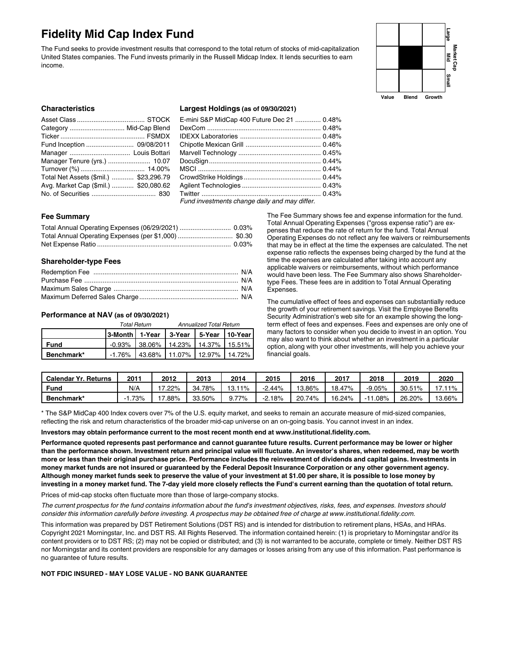## **Fidelity Mid Cap Index Fund**

The Fund seeks to provide investment results that correspond to the total return of stocks of mid-capitalization United States companies. The Fund invests primarily in the Russell Midcap Index. It lends securities to earn income.



## **Characteristics**

| Category  Mid-Cap Blend                |  |
|----------------------------------------|--|
|                                        |  |
|                                        |  |
|                                        |  |
| Manager Tenure (yrs.)  10.07           |  |
|                                        |  |
| Total Net Assets (\$mil.)  \$23,296.79 |  |
| Avg. Market Cap (\$mil.)  \$20,080.62  |  |
|                                        |  |

#### **Largest Holdings (as of 09/30/2021)**

| E-mini S&P MidCap 400 Future Dec 21  0.48%                       |  |
|------------------------------------------------------------------|--|
|                                                                  |  |
|                                                                  |  |
|                                                                  |  |
|                                                                  |  |
|                                                                  |  |
|                                                                  |  |
|                                                                  |  |
|                                                                  |  |
|                                                                  |  |
| $\Gamma$ used in containing the change of its and near different |  |

*Fund investments change daily and may differ.*

## **Fee Summary**

## **Shareholder-type Fees**

## **Performance at NAV (as of 09/30/2021)**

|            |                                              | Total Return | Annualized Total Return               |  |  |  |
|------------|----------------------------------------------|--------------|---------------------------------------|--|--|--|
|            | 3-Month   1-Year   3-Year   5-Year   10-Year |              |                                       |  |  |  |
| Fund       |                                              |              | $-0.93\%$ 38.06% 14.23% 14.37% 15.51% |  |  |  |
| Benchmark* |                                              |              | -1.76% 43.68% 11.07% 12.97% 14.72%    |  |  |  |

The Fee Summary shows fee and expense information for the fund. Total Annual Operating Expenses ("gross expense ratio") are expenses that reduce the rate of return for the fund. Total Annual Operating Expenses do not reflect any fee waivers or reimbursements that may be in effect at the time the expenses are calculated. The net expense ratio reflects the expenses being charged by the fund at the time the expenses are calculated after taking into account any applicable waivers or reimbursements, without which performance would have been less. The Fee Summary also shows Shareholdertype Fees. These fees are in addition to Total Annual Operating Expenses.

The cumulative effect of fees and expenses can substantially reduce the growth of your retirement savings. Visit the Employee Benefits Security Administration's web site for an example showing the longterm effect of fees and expenses. Fees and expenses are only one of many factors to consider when you decide to invest in an option. You may also want to think about whether an investment in a particular option, along with your other investments, will help you achieve your financial goals.

| <b>Calendar Yr. Returns</b> | 2011 | 2012    | 2013   | 2014  | 2015  | 2016   | 2017   | 2018          | 2019   | 2020   |
|-----------------------------|------|---------|--------|-------|-------|--------|--------|---------------|--------|--------|
| <b>Fund</b>                 | N/A  | $.22\%$ | 34.78% | 11%   | 2.44% | 3.86%  | 18.47% | $-9.05%$      | 30.51% | 119/   |
| Benchmark*                  | 73%  | $.88\%$ | 33.50% | J.77% | 2.18% | 20.74% | 16.24% | .08%<br>$-12$ | 26.20% | 13.66% |

\* The S&P MidCap 400 Index covers over 7% of the U.S. equity market, and seeks to remain an accurate measure of mid-sized companies, reflecting the risk and return characteristics of the broader mid-cap universe on an on-going basis. You cannot invest in an index.

#### **Investors may obtain performance current to the most recent month end at www.institutional.fidelity.com.**

Performance quoted represents past performance and cannot guarantee future results. Current performance may be lower or higher than the performance shown. Investment return and principal value will fluctuate. An investor's shares, when redeemed, may be worth more or less than their original purchase price. Performance includes the reinvestment of dividends and capital gains. Investments in money market funds are not insured or guaranteed by the Federal Deposit Insurance Corporation or any other government agency. Although money market funds seek to preserve the value of your investment at \$1.00 per share, it is possible to lose money by investing in a money market fund. The 7-day yield more closely reflects the Fund's current earning than the quotation of total return.

Prices of mid-cap stocks often fluctuate more than those of large-company stocks.

The current prospectus for the fund contains information about the fund's investment objectives, risks, fees, and expenses, Investors should consider this information carefully before investing. A prospectus may be obtained free of charge at www.institutional.fidelity.com.

This information was prepared by DST Retirement Solutions (DST RS) and is intended for distribution to retirement plans, HSAs, and HRAs. Copyright 2021 Morningstar, Inc. and DST RS. All Rights Reserved. The information contained herein: (1) is proprietary to Morningstar and/or its content providers or to DST RS; (2) may not be copied or distributed; and (3) is not warranted to be accurate, complete or timely. Neither DST RS nor Morningstar and its content providers are responsible for any damages or losses arising from any use of this information. Past performance is no guarantee of future results.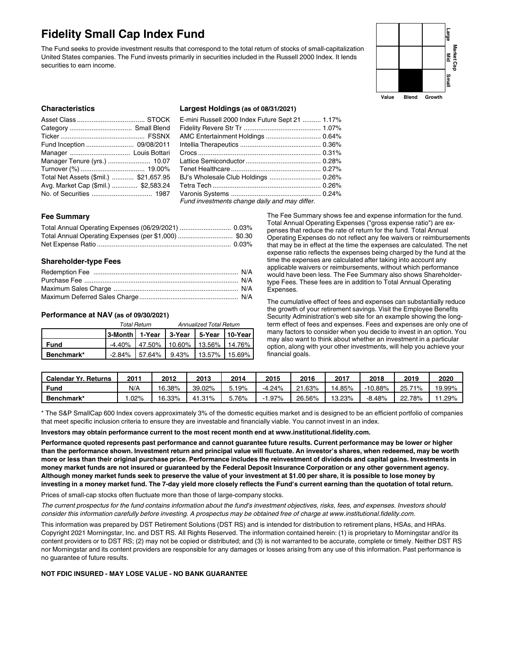## **Fidelity Small Cap Index Fund**

The Fund seeks to provide investment results that correspond to the total return of stocks of small-capitalization United States companies. The Fund invests primarily in securities included in the Russell 2000 Index. It lends securities to earn income.



## **Characteristics**

| Manager Tenure (yrs.)  10.07           |  |
|----------------------------------------|--|
|                                        |  |
| Total Net Assets (\$mil.)  \$21,657.95 |  |
| Avg. Market Cap (\$mil.)  \$2,583.24   |  |
|                                        |  |

#### **Largest Holdings (as of 08/31/2021)**

| E-mini Russell 2000 Index Future Sept 21  1.17% |  |
|-------------------------------------------------|--|
| AMC Entertainment Holdings  0.64%               |  |
|                                                 |  |
|                                                 |  |
|                                                 |  |
|                                                 |  |
|                                                 |  |
|                                                 |  |
|                                                 |  |
| Fund investments change daily and may differ.   |  |

#### **Fee Summary**

#### **Shareholder-type Fees**

#### **Performance at NAV (as of 09/30/2021)**

|             | Total Return | <b>Annualized Total Return</b>                |  |  |
|-------------|--------------|-----------------------------------------------|--|--|
|             |              |                                               |  |  |
| <b>Fund</b> |              | $-4.40\%$   47.50%   10.60%   13.56%   14.76% |  |  |
| Benchmark*  |              | -2.84% 57.64% 9.43% 13.57% 15.69%             |  |  |

The Fee Summary shows fee and expense information for the fund. Total Annual Operating Expenses ("gross expense ratio") are expenses that reduce the rate of return for the fund. Total Annual Operating Expenses do not reflect any fee waivers or reimbursements that may be in effect at the time the expenses are calculated. The net expense ratio reflects the expenses being charged by the fund at the time the expenses are calculated after taking into account any applicable waivers or reimbursements, without which performance would have been less. The Fee Summary also shows Shareholdertype Fees. These fees are in addition to Total Annual Operating Expenses.

The cumulative effect of fees and expenses can substantially reduce the growth of your retirement savings. Visit the Employee Benefits Security Administration's web site for an example showing the longterm effect of fees and expenses. Fees and expenses are only one of many factors to consider when you decide to invest in an option. You may also want to think about whether an investment in a particular option, along with your other investments, will help you achieve your financial goals.

| <b>Calendar Yr. Returns</b> | $201^{\circ}$ | 2012   | 2013   | 2014  | 2015     | 2016         | 2017   | 2018     | 2019        | 2020   |
|-----------------------------|---------------|--------|--------|-------|----------|--------------|--------|----------|-------------|--------|
| Fund                        | N/A           | 16.38% | 39.02% | 3.19% | $-4.24%$ | .63%<br>ົາ - | 14.85% | -10.88%  | 25.7<br>71% | 19.99% |
| Benchmark*                  | $.02\%$       | 16.33% | 41.31% | .76%  | $1.97\%$ | 26.56%       | 13.23% | $-8.48%$ | 78%<br>22.  | .29%   |

\* The S&P SmallCap 600 Index covers approximately 3% of the domestic equities market and is designed to be an efficient portfolio of companies that meet specific inclusion criteria to ensure they are investable and financially viable. You cannot invest in an index.

#### **Investors may obtain performance current to the most recent month end at www.institutional.fidelity.com.**

Performance quoted represents past performance and cannot guarantee future results. Current performance may be lower or higher than the performance shown. Investment return and principal value will fluctuate. An investor's shares, when redeemed, may be worth more or less than their original purchase price. Performance includes the reinvestment of dividends and capital gains. Investments in money market funds are not insured or guaranteed by the Federal Deposit Insurance Corporation or any other government agency. Although money market funds seek to preserve the value of your investment at \$1.00 per share, it is possible to lose money by investing in a money market fund. The 7-day yield more closely reflects the Fund's current earning than the quotation of total return.

Prices of small-cap stocks often fluctuate more than those of large-company stocks.

The current prospectus for the fund contains information about the fund's investment objectives, risks, fees, and expenses, Investors should consider this information carefully before investing. A prospectus may be obtained free of charge at www.institutional.fidelity.com.

This information was prepared by DST Retirement Solutions (DST RS) and is intended for distribution to retirement plans, HSAs, and HRAs. Copyright 2021 Morningstar, Inc. and DST RS. All Rights Reserved. The information contained herein: (1) is proprietary to Morningstar and/or its content providers or to DST RS; (2) may not be copied or distributed; and (3) is not warranted to be accurate, complete or timely. Neither DST RS nor Morningstar and its content providers are responsible for any damages or losses arising from any use of this information. Past performance is no guarantee of future results.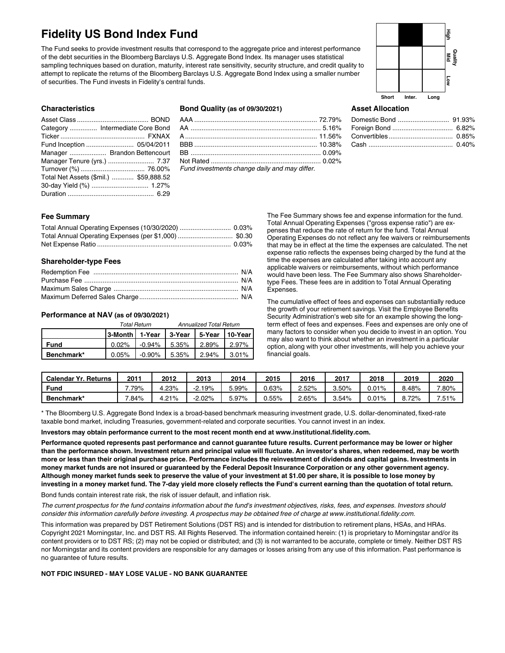## **Fidelity US Bond Index Fund**

The Fund seeks to provide investment results that correspond to the aggregate price and interest performance of the debt securities in the Bloomberg Barclays U.S. Aggregate Bond Index. Its manager uses statistical sampling techniques based on duration, maturity, interest rate sensitivity, security structure, and credit quality to attempt to replicate the returns of the Bloomberg Barclays U.S. Aggregate Bond Index using a smaller number of securities. The Fund invests in Fidelity's central funds.



## **Asset Allocation**

#### **Characteristics**

| Category  Intermediate Core Bond       |  |
|----------------------------------------|--|
|                                        |  |
|                                        |  |
| Manager  Brandon Bettencourt           |  |
| Manager Tenure (yrs.)  7.37            |  |
|                                        |  |
| Total Net Assets (\$mil.)  \$59,888.52 |  |
|                                        |  |
|                                        |  |
|                                        |  |

## **Bond Quality (as of 09/30/2021)**

| $\overline{a}$ , and the contract of the contract of the contract of the contract of the contract of the contract of the contract of the contract of the contract of the contract of the contract of the contract of the contract o |  |
|-------------------------------------------------------------------------------------------------------------------------------------------------------------------------------------------------------------------------------------|--|

*Fund investments change daily and may differ.*

## **Fee Summary**

## **Shareholder-type Fees**

## **Performance at NAV (as of 09/30/2021)**

|             | <b>Total Return</b> | <b>Annualized Total Return</b>                                           |  |       |
|-------------|---------------------|--------------------------------------------------------------------------|--|-------|
|             |                     |                                                                          |  |       |
| <b>Fund</b> |                     | $0.02\%$ $\blacksquare$ -0.94% $\blacksquare$ 5.35% $\blacksquare$ 2.89% |  | 2.97% |
| Benchmark*  |                     | $0.05\%$   $-0.90\%$   5.35%   2.94%   3.01%                             |  |       |

The Fee Summary shows fee and expense information for the fund. Total Annual Operating Expenses ("gross expense ratio") are expenses that reduce the rate of return for the fund. Total Annual Operating Expenses do not reflect any fee waivers or reimbursements that may be in effect at the time the expenses are calculated. The net expense ratio reflects the expenses being charged by the fund at the time the expenses are calculated after taking into account any applicable waivers or reimbursements, without which performance would have been less. The Fee Summary also shows Shareholdertype Fees. These fees are in addition to Total Annual Operating Expenses.

The cumulative effect of fees and expenses can substantially reduce the growth of your retirement savings. Visit the Employee Benefits Security Administration's web site for an example showing the longterm effect of fees and expenses. Fees and expenses are only one of many factors to consider when you decide to invest in an option. You may also want to think about whether an investment in a particular option, along with your other investments, will help you achieve your financial goals.

| Calendar Yr.<br>. Returns | 201     | 2012  | 2013      | 2014  | 2015     | 2016     | 2017     | 2018  | 2019  | 2020     |
|---------------------------|---------|-------|-----------|-------|----------|----------|----------|-------|-------|----------|
| Fund                      | .79%    | 4.23% | $-2.19\%$ | .99%  | $0.63\%$ | 2.52%    | $3.50\%$ | 0.01% | 3.48% | 7.80%    |
| Benchmark*                | $.84\%$ | 4.21% | $2.02\%$  | 5.97% | $0.55\%$ | $2.65\%$ | $3.54\%$ | 0.01% | 8.72% | $7.51\%$ |

\* The Bloomberg U.S. Aggregate Bond Index is a broad-based benchmark measuring investment grade, U.S. dollar-denominated, fixed-rate taxable bond market, including Treasuries, government-related and corporate securities. You cannot invest in an index.

#### **Investors may obtain performance current to the most recent month end at www.institutional.fidelity.com.**

Performance quoted represents past performance and cannot guarantee future results. Current performance may be lower or higher than the performance shown. Investment return and principal value will fluctuate. An investor's shares, when redeemed, may be worth more or less than their original purchase price. Performance includes the reinvestment of dividends and capital gains. Investments in money market funds are not insured or guaranteed by the Federal Deposit Insurance Corporation or any other government agency. Although money market funds seek to preserve the value of your investment at \$1.00 per share, it is possible to lose money by investing in a money market fund. The 7-day yield more closely reflects the Fund's current earning than the quotation of total return.

Bond funds contain interest rate risk, the risk of issuer default, and inflation risk.

The current prospectus for the fund contains information about the fund's investment objectives, risks, fees, and expenses, Investors should consider this information carefully before investing. A prospectus may be obtained free of charge at www.institutional.fidelity.com.

This information was prepared by DST Retirement Solutions (DST RS) and is intended for distribution to retirement plans, HSAs, and HRAs. Copyright 2021 Morningstar, Inc. and DST RS. All Rights Reserved. The information contained herein: (1) is proprietary to Morningstar and/or its content providers or to DST RS; (2) may not be copied or distributed; and (3) is not warranted to be accurate, complete or timely. Neither DST RS nor Morningstar and its content providers are responsible for any damages or losses arising from any use of this information. Past performance is no guarantee of future results.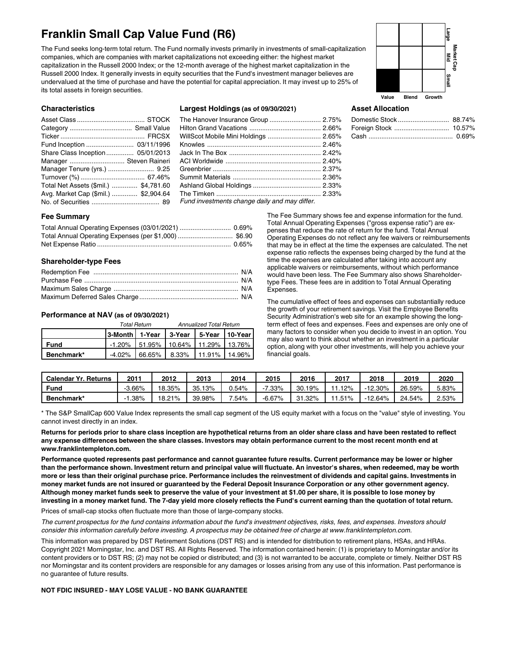## **Franklin Small Cap Value Fund (R6)**

The Fund seeks long-term total return. The Fund normally invests primarily in investments of small-capitalization companies, which are companies with market capitalizations not exceeding either: the highest market capitalization in the Russell 2000 Index; or the 12-month average of the highest market capitalization in the Russell 2000 Index. It generally invests in equity securities that the Fund's investment manager believes are undervalued at the time of purchase and have the potential for capital appreciation. It may invest up to 25% of its total assets in foreign securities.



### **Characteristics**

| Share Class Inception 05/01/2013      |  |
|---------------------------------------|--|
| Manager  Steven Raineri               |  |
| Manager Tenure (yrs.)  9.25           |  |
|                                       |  |
| Total Net Assets (\$mil.)  \$4,781.60 |  |
| Avg. Market Cap (\$mil.)  \$2,904.64  |  |
|                                       |  |

### **Largest Holdings (as of 09/30/2021)**

| Fund investments change daily and may differ. |  |
|-----------------------------------------------|--|

## **Asset Allocation**

## **Fee Summary**

## **Shareholder-type Fees**

## **Performance at NAV (as of 09/30/2021)**

|             |                                              | <b>Total Return</b>                   | <b>Annualized Total Return</b> |  |
|-------------|----------------------------------------------|---------------------------------------|--------------------------------|--|
|             | 3-Month   1-Year   3-Year   5-Year   10-Year |                                       |                                |  |
| <b>Fund</b> |                                              | $-1.20\%$ 51.95% 10.64% 11.29% 13.76% |                                |  |
| Benchmark*  |                                              | $-4.02\%$ 66.65% 8.33% 11.91% 14.96%  |                                |  |

The Fee Summary shows fee and expense information for the fund. Total Annual Operating Expenses ("gross expense ratio") are expenses that reduce the rate of return for the fund. Total Annual Operating Expenses do not reflect any fee waivers or reimbursements that may be in effect at the time the expenses are calculated. The net expense ratio reflects the expenses being charged by the fund at the time the expenses are calculated after taking into account any applicable waivers or reimbursements, without which performance would have been less. The Fee Summary also shows Shareholdertype Fees. These fees are in addition to Total Annual Operating Expenses.

The cumulative effect of fees and expenses can substantially reduce the growth of your retirement savings. Visit the Employee Benefits Security Administration's web site for an example showing the longterm effect of fees and expenses. Fees and expenses are only one of many factors to consider when you decide to invest in an option. You may also want to think about whether an investment in a particular option, along with your other investments, will help you achieve your financial goals.

| Calendar Yr.<br>Returns | $201^{\circ}$ | 2012   | 2013       | 2014  | 2015     | 2016       | 2017 | 2018       | 2019   | 2020     |
|-------------------------|---------------|--------|------------|-------|----------|------------|------|------------|--------|----------|
| Fund                    | 3.66%         | 18.35% | 35.<br>13% | J.54% | 7.33%    | 30.19%     | 12%  | $-12.30\%$ | 26.59% | 5.83%    |
| Benchmark*              | .38%          | 18.21% | 39.98%     | .54%  | $-6.67%$ | .32%<br>31 | 51%، | $-12.64%$  | 24.54% | $2.53\%$ |

\* The S&P SmallCap 600 Value Index represents the small cap segment of the US equity market with a focus on the "value" style of investing. You cannot invest directly in an index.

Returns for periods prior to share class inception are hypothetical returns from an older share class and have been restated to reflect any expense differences between the share classes. Investors may obtain performance current to the most recent month end at **www.franklintempleton.com.**

Performance quoted represents past performance and cannot guarantee future results. Current performance may be lower or higher than the performance shown. Investment return and principal value will fluctuate. An investor's shares, when redeemed, may be worth more or less than their original purchase price. Performance includes the reinvestment of dividends and capital gains. Investments in money market funds are not insured or guaranteed by the Federal Deposit Insurance Corporation or any other government agency. Although money market funds seek to preserve the value of your investment at \$1.00 per share, it is possible to lose money by investing in a money market fund. The 7-day yield more closely reflects the Fund's current earning than the quotation of total return.

Prices of small-cap stocks often fluctuate more than those of large-company stocks.

The current prospectus for the fund contains information about the fund's investment objectives, risks, fees, and expenses. Investors should consider this information carefully before investing. A prospectus may be obtained free of charge at www.franklintempleton.com.

This information was prepared by DST Retirement Solutions (DST RS) and is intended for distribution to retirement plans, HSAs, and HRAs. Copyright 2021 Morningstar, Inc. and DST RS. All Rights Reserved. The information contained herein: (1) is proprietary to Morningstar and/or its content providers or to DST RS; (2) may not be copied or distributed; and (3) is not warranted to be accurate, complete or timely. Neither DST RS nor Morningstar and its content providers are responsible for any damages or losses arising from any use of this information. Past performance is no guarantee of future results.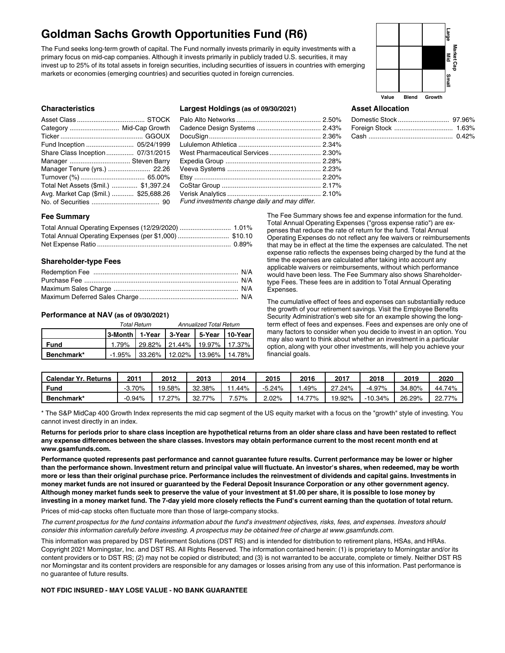## **Goldman Sachs Growth Opportunities Fund (R6)**

The Fund seeks long-term growth of capital. The Fund normally invests primarily in equity investments with a primary focus on mid-cap companies. Although it invests primarily in publicly traded U.S. securities, it may invest up to 25% of its total assets in foreign securities, including securities of issuers in countries with emerging markets or economies (emerging countries) and securities quoted in foreign currencies.



## **Characteristics**

| Category  Mid-Cap Growth              |  |
|---------------------------------------|--|
|                                       |  |
| Fund Inception  05/24/1999            |  |
| Share Class Inception 07/31/2015      |  |
| Manager  Steven Barry                 |  |
| Manager Tenure (yrs.)  22.26          |  |
|                                       |  |
| Total Net Assets (\$mil.)  \$1,397.24 |  |
| Avg. Market Cap (\$mil.)  \$25,688.26 |  |
|                                       |  |

## **Largest Holdings (as of 09/30/2021)**

| Fund investments change daily and may differ. |  |
|-----------------------------------------------|--|

## **Asset Allocation**

## **Fee Summary**

## **Shareholder-type Fees**

#### **Performance at NAV (as of 09/30/2021)**

|             |                                              | <b>Total Return</b> | <b>Annualized Total Return</b>        |  |  |  |
|-------------|----------------------------------------------|---------------------|---------------------------------------|--|--|--|
|             | 3-Month   1-Year   3-Year   5-Year   10-Year |                     |                                       |  |  |  |
| <b>Fund</b> |                                              |                     | 1.79% 29.82% 21.44% 19.97% 17.37%     |  |  |  |
| Benchmark*  |                                              |                     | $-1.95\%$ 33.26% 12.02% 13.96% 14.78% |  |  |  |

The Fee Summary shows fee and expense information for the fund. Total Annual Operating Expenses ("gross expense ratio") are expenses that reduce the rate of return for the fund. Total Annual Operating Expenses do not reflect any fee waivers or reimbursements that may be in effect at the time the expenses are calculated. The net expense ratio reflects the expenses being charged by the fund at the time the expenses are calculated after taking into account any applicable waivers or reimbursements, without which performance would have been less. The Fee Summary also shows Shareholdertype Fees. These fees are in addition to Total Annual Operating Expenses.

The cumulative effect of fees and expenses can substantially reduce the growth of your retirement savings. Visit the Employee Benefits Security Administration's web site for an example showing the longterm effect of fees and expenses. Fees and expenses are only one of many factors to consider when you decide to invest in an option. You may also want to think about whether an investment in a particular option, along with your other investments, will help you achieve your financial goals.

| Calendar Yr.<br>Returns | 201    | 2012   | 2013        | 2014    | 2015     | 2016   | 2017   | 2018     | 2019   | 2020   |
|-------------------------|--------|--------|-------------|---------|----------|--------|--------|----------|--------|--------|
| <b>Fund</b>             | 70%    | 19.58% | 32.38%      | .44%    | $-5.24%$ | .49%   | .24%   | $-4.97%$ | 34.80% | 44.74% |
| Benchmark*              | -0.94% | ` 27%  | 77%<br>32.7 | $.57\%$ | ∠.02%    | 14.77% | 19.92% | -10.34%  | 26.29% | 22.77% |

\* The S&P MidCap 400 Growth Index represents the mid cap segment of the US equity market with a focus on the "growth" style of investing. You cannot invest directly in an index.

Returns for periods prior to share class inception are hypothetical returns from an older share class and have been restated to reflect any expense differences between the share classes. Investors may obtain performance current to the most recent month end at **www.gsamfunds.com.**

Performance quoted represents past performance and cannot guarantee future results. Current performance may be lower or higher than the performance shown. Investment return and principal value will fluctuate. An investor's shares, when redeemed, may be worth more or less than their original purchase price. Performance includes the reinvestment of dividends and capital gains. Investments in money market funds are not insured or guaranteed by the Federal Deposit Insurance Corporation or any other government agency. Although money market funds seek to preserve the value of your investment at \$1.00 per share, it is possible to lose money by investing in a money market fund. The 7-day yield more closely reflects the Fund's current earning than the quotation of total return.

Prices of mid-cap stocks often fluctuate more than those of large-company stocks.

The current prospectus for the fund contains information about the fund's investment objectives, risks, fees, and expenses. Investors should consider this information carefully before investing. A prospectus may be obtained free of charge at www.gsamfunds.com.

This information was prepared by DST Retirement Solutions (DST RS) and is intended for distribution to retirement plans, HSAs, and HRAs. Copyright 2021 Morningstar, Inc. and DST RS. All Rights Reserved. The information contained herein: (1) is proprietary to Morningstar and/or its content providers or to DST RS; (2) may not be copied or distributed; and (3) is not warranted to be accurate, complete or timely. Neither DST RS nor Morningstar and its content providers are responsible for any damages or losses arising from any use of this information. Past performance is no guarantee of future results.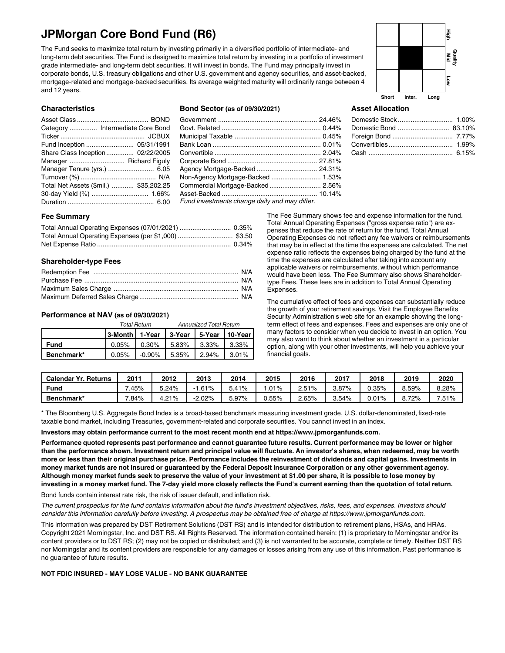## **JPMorgan Core Bond Fund (R6)**

The Fund seeks to maximize total return by investing primarily in a diversified portfolio of intermediate- and long-term debt securities. The Fund is designed to maximize total return by investing in a portfolio of investment grade intermediate- and long-term debt securities. It will invest in bonds. The Fund may principally invest in corporate bonds, U.S. treasury obligations and other U.S. government and agency securities, and asset-backed, mortgage-related and mortgage-backed securities. Its average weighted maturity will ordinarily range between 4 and 12 years.

# **Short Inter. Long Quality Mid High Low**

Domestic Stock .............................. 1.00% Domestic Bond ............................ 83.10% Foreign Bond ................................. 7.77% Convertibles................................... 1.99% Cash .............................................. 6.15%

#### **Characteristics**

| Category  Intermediate Core Bond       |  |
|----------------------------------------|--|
|                                        |  |
| Fund Inception  05/31/1991             |  |
| Share Class Inception 02/22/2005       |  |
| Manager  Richard Figuly                |  |
| Manager Tenure (yrs.)  6.05            |  |
|                                        |  |
| Total Net Assets (\$mil.)  \$35,202.25 |  |
|                                        |  |
|                                        |  |

### **Bond Sector (as of 09/30/2021)**

| Non-Agency Mortgage-Backed  1.53%                        |  |
|----------------------------------------------------------|--|
| Commercial Mortgage-Backed 2.56%                         |  |
|                                                          |  |
| Funding control of the service delivered means different |  |

#### *Fund investments change daily and may differ.*

## **Fee Summary**

## **Shareholder-type Fees**

## **Performance at NAV (as of 09/30/2021)**

|             | <b>Total Return</b> | <b>Annualized Total Return</b>               |  |       |  |
|-------------|---------------------|----------------------------------------------|--|-------|--|
|             |                     |                                              |  |       |  |
| <b>Fund</b> |                     | $0.05\%$   0.30%   5.83%   3.33%             |  | 3.33% |  |
| Benchmark*  |                     | $0.05\%$   $-0.90\%$   5.35%   2.94%   3.01% |  |       |  |

The Fee Summary shows fee and expense information for the fund. Total Annual Operating Expenses ("gross expense ratio") are expenses that reduce the rate of return for the fund. Total Annual Operating Expenses do not reflect any fee waivers or reimbursements that may be in effect at the time the expenses are calculated. The net expense ratio reflects the expenses being charged by the fund at the time the expenses are calculated after taking into account any applicable waivers or reimbursements, without which performance would have been less. The Fee Summary also shows Shareholdertype Fees. These fees are in addition to Total Annual Operating Expenses.

**Asset Allocation**

The cumulative effect of fees and expenses can substantially reduce the growth of your retirement savings. Visit the Employee Benefits Security Administration's web site for an example showing the longterm effect of fees and expenses. Fees and expenses are only one of many factors to consider when you decide to invest in an option. You may also want to think about whether an investment in a particular option, along with your other investments, will help you achieve your financial goals.

| <b>Calendar Yr. Returns</b> | 201     | 2012  | 2013   | 2014  | 2015     | 2016     | 2017     | 2018     | 2019     | 2020     |
|-----------------------------|---------|-------|--------|-------|----------|----------|----------|----------|----------|----------|
| Fung                        | .45%    | 5.24% | .61%   | 5.41% | .01%     | 2.51%    | $3.87\%$ | $0.35\%$ | $8.59\%$ | 8.28%    |
| Benchmark*                  | $.84\%$ | 4.21% | -2.02% | 5.97% | $0.55\%$ | $2.65\%$ | $3.54\%$ | 0.01%    | 8.72%    | $7.51\%$ |

\* The Bloomberg U.S. Aggregate Bond Index is a broad-based benchmark measuring investment grade, U.S. dollar-denominated, fixed-rate taxable bond market, including Treasuries, government-related and corporate securities. You cannot invest in an index.

#### **Investors may obtain performance current to the most recent month end at https://www.jpmorganfunds.com.**

Performance quoted represents past performance and cannot guarantee future results. Current performance may be lower or higher than the performance shown. Investment return and principal value will fluctuate. An investor's shares, when redeemed, may be worth more or less than their original purchase price. Performance includes the reinvestment of dividends and capital gains. Investments in money market funds are not insured or guaranteed by the Federal Deposit Insurance Corporation or any other government agency. Although money market funds seek to preserve the value of your investment at \$1.00 per share, it is possible to lose money by investing in a money market fund. The 7-day yield more closely reflects the Fund's current earning than the quotation of total return.

Bond funds contain interest rate risk, the risk of issuer default, and inflation risk.

The current prospectus for the fund contains information about the fund's investment objectives, risks, fees, and expenses, Investors should consider this information carefully before investing. A prospectus may be obtained free of charge at https://www.jpmorganfunds.com.

This information was prepared by DST Retirement Solutions (DST RS) and is intended for distribution to retirement plans, HSAs, and HRAs. Copyright 2021 Morningstar, Inc. and DST RS. All Rights Reserved. The information contained herein: (1) is proprietary to Morningstar and/or its content providers or to DST RS; (2) may not be copied or distributed; and (3) is not warranted to be accurate, complete or timely. Neither DST RS nor Morningstar and its content providers are responsible for any damages or losses arising from any use of this information. Past performance is no guarantee of future results.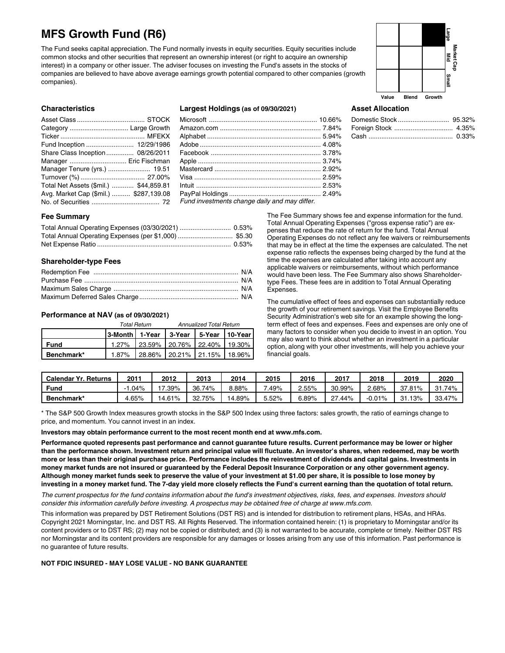## **MFS Growth Fund (R6)**

The Fund seeks capital appreciation. The Fund normally invests in equity securities. Equity securities include common stocks and other securities that represent an ownership interest (or right to acquire an ownership interest) in a company or other issuer. The adviser focuses on investing the Fund's assets in the stocks of companies are believed to have above average earnings growth potential compared to other companies (growth companies).



#### **Characteristics**

| Fund Inception  12/29/1986             |  |
|----------------------------------------|--|
| Share Class Inception 08/26/2011       |  |
| Manager  Eric Fischman                 |  |
| Manager Tenure (yrs.)  19.51           |  |
|                                        |  |
| Total Net Assets (\$mil.)  \$44,859.81 |  |
| Avg. Market Cap (\$mil.)  \$287,139.08 |  |
|                                        |  |
|                                        |  |

## **Largest Holdings (as of 09/30/2021)**

| Fund investments change daily and may differ. |  |
|-----------------------------------------------|--|

## **Asset Allocation**

#### **Fee Summary**

## **Shareholder-type Fees**

#### **Performance at NAV (as of 09/30/2021)**

|                   |                                              | Total Return | <b>Annualized Total Return</b>    |  |  |  |
|-------------------|----------------------------------------------|--------------|-----------------------------------|--|--|--|
|                   | 3-Month   1-Year   3-Year   5-Year   10-Year |              |                                   |  |  |  |
| Fund              |                                              |              | 1.27% 23.59% 20.76% 22.40% 19.30% |  |  |  |
| <b>Benchmark*</b> |                                              |              | 1.87% 28.86% 20.21% 21.15% 18.96% |  |  |  |

The Fee Summary shows fee and expense information for the fund. Total Annual Operating Expenses ("gross expense ratio") are expenses that reduce the rate of return for the fund. Total Annual Operating Expenses do not reflect any fee waivers or reimbursements that may be in effect at the time the expenses are calculated. The net expense ratio reflects the expenses being charged by the fund at the time the expenses are calculated after taking into account any applicable waivers or reimbursements, without which performance would have been less. The Fee Summary also shows Shareholdertype Fees. These fees are in addition to Total Annual Operating Expenses.

The cumulative effect of fees and expenses can substantially reduce the growth of your retirement savings. Visit the Employee Benefits Security Administration's web site for an example showing the longterm effect of fees and expenses. Fees and expenses are only one of many factors to consider when you decide to invest in an option. You may also want to think about whether an investment in a particular option, along with your other investments, will help you achieve your financial goals.

| <b>Calendar Yr. Returns</b> | $201^{\circ}$ | 2012    | 2013        | 2014     | 2015  | 2016     | 2017       | 2018     | 2019       | 2020   |
|-----------------------------|---------------|---------|-------------|----------|-------|----------|------------|----------|------------|--------|
| Fung                        | $.04\%$       | $.39\%$ | 36.74%      | $3.88\%$ | .49%  | $2.55\%$ | 30.99%     | $2.68\%$ | 37.81%     | 31.74% |
| Benchmark*                  | 4.65%         | 14.61%  | 75%<br>32.7 | 14.89%   | 5.52% | 6.89%    | .44%<br>~~ | 0.01%    | 13%<br>31. | 33.47% |

\* The S&P 500 Growth Index measures growth stocks in the S&P 500 Index using three factors: sales growth, the ratio of earnings change to price, and momentum. You cannot invest in an index.

**Investors may obtain performance current to the most recent month end at www.mfs.com.**

Performance quoted represents past performance and cannot guarantee future results. Current performance may be lower or higher than the performance shown. Investment return and principal value will fluctuate. An investor's shares, when redeemed, may be worth more or less than their original purchase price. Performance includes the reinvestment of dividends and capital gains. Investments in money market funds are not insured or guaranteed by the Federal Deposit Insurance Corporation or any other government agency. Although money market funds seek to preserve the value of your investment at \$1.00 per share, it is possible to lose money by investing in a money market fund. The 7-day yield more closely reflects the Fund's current earning than the quotation of total return.

The current prospectus for the fund contains information about the fund's investment objectives, risks, fees, and expenses. Investors should consider this information carefully before investing. A prospectus may be obtained free of charge at www.mfs.com.

This information was prepared by DST Retirement Solutions (DST RS) and is intended for distribution to retirement plans, HSAs, and HRAs. Copyright 2021 Morningstar, Inc. and DST RS. All Rights Reserved. The information contained herein: (1) is proprietary to Morningstar and/or its content providers or to DST RS; (2) may not be copied or distributed; and (3) is not warranted to be accurate, complete or timely. Neither DST RS nor Morningstar and its content providers are responsible for any damages or losses arising from any use of this information. Past performance is no guarantee of future results.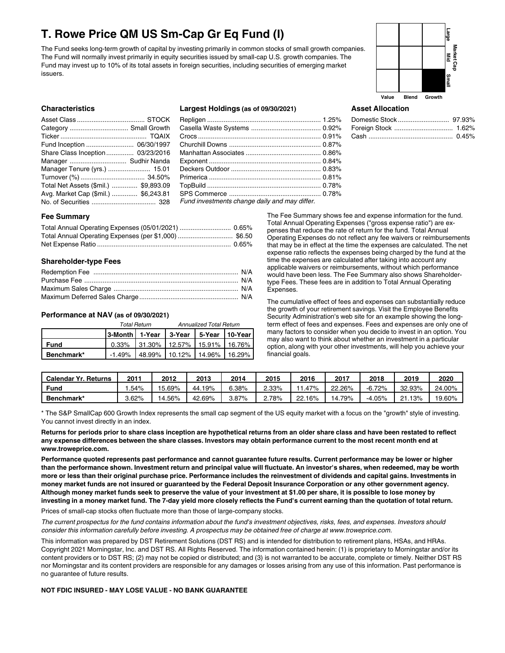## **T. Rowe Price QM US Sm-Cap Gr Eq Fund (I)**

The Fund seeks long-term growth of capital by investing primarily in common stocks of small growth companies. The Fund will normally invest primarily in equity securities issued by small-cap U.S. growth companies. The Fund may invest up to 10% of its total assets in foreign securities, including securities of emerging market issuers.



#### **Characteristics**

| Category  Small Growth                |  |
|---------------------------------------|--|
|                                       |  |
| Fund Inception  06/30/1997            |  |
| Share Class Inception 03/23/2016      |  |
| Manager  Sudhir Nanda                 |  |
| Manager Tenure (yrs.)  15.01          |  |
|                                       |  |
| Total Net Assets (\$mil.)  \$9,893.09 |  |
| Avg. Market Cap (\$mil.)  \$6,243.81  |  |
|                                       |  |

#### **Largest Holdings (as of 09/30/2021)**

| Fund investments change daily and may differ. |  |
|-----------------------------------------------|--|

## **Asset Allocation**

#### **Fee Summary**

#### **Shareholder-type Fees**

#### **Performance at NAV (as of 09/30/2021)**

|             |                                              | <b>Total Return</b>                   | <b>Annualized Total Return</b> |  |  |  |
|-------------|----------------------------------------------|---------------------------------------|--------------------------------|--|--|--|
|             | 3-Month   1-Year   3-Year   5-Year   10-Year |                                       |                                |  |  |  |
| <b>Fund</b> |                                              | $0.33\%$ 31.30% 12.57% 15.91% 16.76%  |                                |  |  |  |
| Benchmark*  |                                              | $-1.49\%$ 48.99% 10.12% 14.96% 16.29% |                                |  |  |  |

The Fee Summary shows fee and expense information for the fund. Total Annual Operating Expenses ("gross expense ratio") are expenses that reduce the rate of return for the fund. Total Annual Operating Expenses do not reflect any fee waivers or reimbursements that may be in effect at the time the expenses are calculated. The net expense ratio reflects the expenses being charged by the fund at the time the expenses are calculated after taking into account any applicable waivers or reimbursements, without which performance would have been less. The Fee Summary also shows Shareholdertype Fees. These fees are in addition to Total Annual Operating Expenses.

The cumulative effect of fees and expenses can substantially reduce the growth of your retirement savings. Visit the Employee Benefits Security Administration's web site for an example showing the longterm effect of fees and expenses. Fees and expenses are only one of many factors to consider when you decide to invest in an option. You may also want to think about whether an investment in a particular option, along with your other investments, will help you achieve your financial goals.

| <b>Calendar Yr. Returns</b> | 201   | 2012   | 2013        | 2014     | 2015  | 2016      | 2017   | 2018     | 2019       | 2020   |
|-----------------------------|-------|--------|-------------|----------|-------|-----------|--------|----------|------------|--------|
| Fund                        | .54%  | 15.69% | 19%<br>-44. | .38%     | 2.33% | $1.47\%$  | 22.26% | -6.72%   | 32.93%     | 24.00% |
| Benchmark*                  | 3.62% | 14.56% | 42.69%      | $3.87\%$ | 2.78% | $-2.16\%$ | 14.79% | $-4.05%$ | 13%<br>21. | 19.60% |

\* The S&P SmallCap 600 Growth Index represents the small cap segment of the US equity market with a focus on the "growth" style of investing. You cannot invest directly in an index.

Returns for periods prior to share class inception are hypothetical returns from an older share class and have been restated to reflect any expense differences between the share classes. Investors may obtain performance current to the most recent month end at **www.troweprice.com.**

Performance quoted represents past performance and cannot guarantee future results. Current performance may be lower or higher than the performance shown. Investment return and principal value will fluctuate. An investor's shares, when redeemed, may be worth more or less than their original purchase price. Performance includes the reinvestment of dividends and capital gains. Investments in money market funds are not insured or guaranteed by the Federal Deposit Insurance Corporation or any other government agency. Although money market funds seek to preserve the value of your investment at \$1.00 per share, it is possible to lose money by investing in a money market fund. The 7-day yield more closely reflects the Fund's current earning than the quotation of total return.

Prices of small-cap stocks often fluctuate more than those of large-company stocks.

The current prospectus for the fund contains information about the fund's investment objectives, risks, fees, and expenses. Investors should consider this information carefully before investing. A prospectus may be obtained free of charge at www.troweprice.com.

This information was prepared by DST Retirement Solutions (DST RS) and is intended for distribution to retirement plans, HSAs, and HRAs. Copyright 2021 Morningstar, Inc. and DST RS. All Rights Reserved. The information contained herein: (1) is proprietary to Morningstar and/or its content providers or to DST RS; (2) may not be copied or distributed; and (3) is not warranted to be accurate, complete or timely. Neither DST RS nor Morningstar and its content providers are responsible for any damages or losses arising from any use of this information. Past performance is no guarantee of future results.